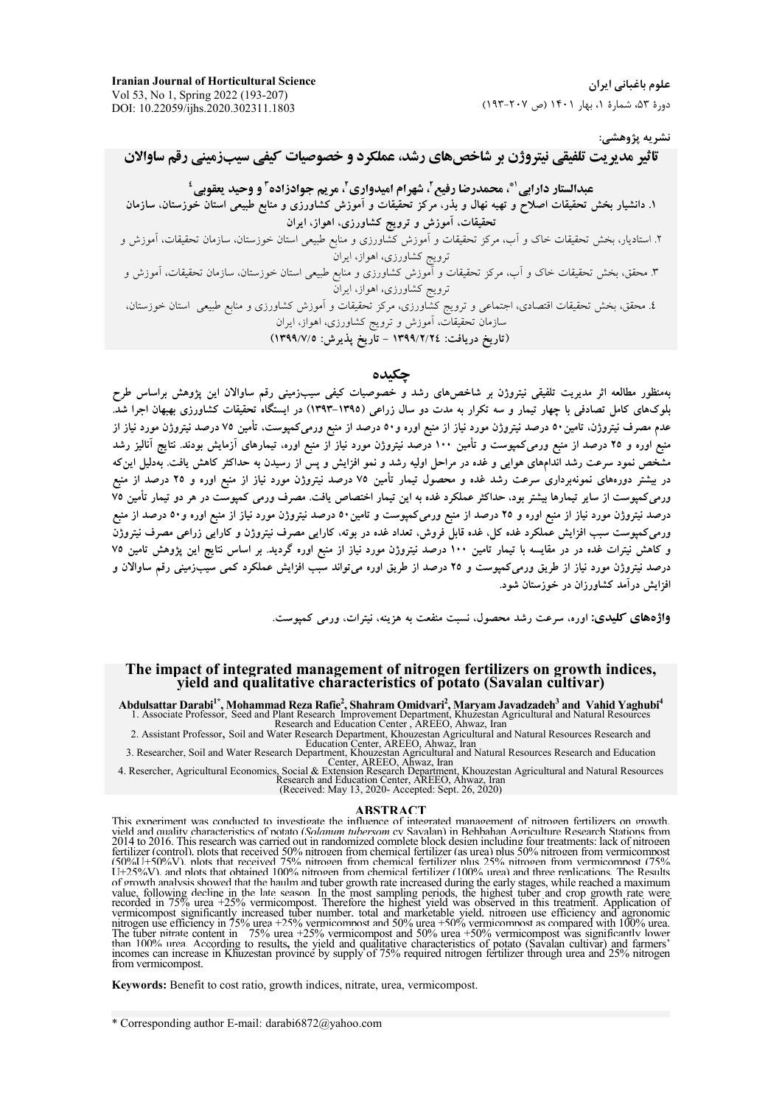## نشريه پژوهشي:

# تاثیر مدر پت تلفیقی نیتروژن بر شاخص های رشد، عملکرد و خصوصیات کیفی سیبزمینی رقم ساوالان

عبدالستار دارايي ً، محمدرضا رفيع ً، شهرام اميدواري ً، مريم جوادزاده ً و وحيد يعقوبي ـ ْ ١. دانشیار بخش تحقیقات اصلاح و تهیه نهال و بذر، مرکز تحقیقات و اَموزش کشاورزی و منابع طبیعی استان خوزستان، سازمان تحقیقات، آموزش و ترویج کشاورزی، اهواز، ایران

۲. استادیار، بخش تحقیقات خاک و اَب، مرکز تحقیقات و اَموزش کشّاورزی و منابع طبیعی استان خوزستان، سازمان تحقیقات، اَموزش و

ترویج کشآورزی، اهواز، ایران

٤. محقق، بخش تحقیقات اقتصادی، اجتماعی و ترویج کشاورزی، مرکز تحقیقات و آموزش کشاورزی و منابع طبیعی استان خوزستان، سازمان تحقیقات، اَموزش و ترویج کشاورزی، اهواز، ایران<br>(**تاریخ دریافت: ۱۳۹۹/۲/۲٤ – تاریخ پذیرش: ۱۳۹۹/**۷/0)

## جكىدە

بهمنظور مطالعه اثر مدیریت تلفیقی نیتروژن بر شاخصهای رشد و خصوصیات کیفی سیب;مینی رقم ساوالان این پژوهش براساس طرح بلوکهای کامل تصادفی با چهار تیمار و سه تکرار به مدت دو سال زراعی (۱۳۹۵–۱۳۹۳) در ایستگاه تحقیقات کشاورزی بهبهان اجرا شدّ. عدم مصرف نیتروژن، تامین۵۰ درصد نیتروژن مورد نیاز از منبع اوره و۵۰ درصد از منبع ورمیکمپوست، تأمین ۷۵ درصد نیتروژن مورد نیاز از منبع اوره و ۲۵ درصد از منبع ورمیکمپوست و تأمین ۱۰۰ درصد نیتروژن مورد نیاز آز منبع اوره، تیمارهای آزمایش بودند. نتایج آنالیز رشد مشخص نمود سرعت رشد اندامهای هوایی و غده در مراحل اولیه رشد و نمو افزایش و پس از رسیدن به حداکثر کاهش یافت. بهدلیل این که در بیشتر دورههای نمونهبرداری سرعت رشد غده و محصول تیمار تأمین ۷۵ درصد نیتروژن مورد نیاز از منبع اوره و ۲۵ درصد از منبع ورمیکمپوست از سایر تیمارها بیشتر بود، حداکثر عملکرد غده به این تیمار اختصاص یافت. مصرف ورمی کمپوست در هر دو تیمار تأمین ۷۵ درصد نیتروژن مورد نیاز از منبع اوره و ۲۵ درصد از منبع ورمیکمپوست و تامین۵۰ درصد نیتروژن مورد نیاز از منبع اوره و۵۰ درصد از منبع ورمیکمپوست سبب افزایش عَملکرد غده کل، غده قابلٌ فروش، تعداد غده در بوته، کارایی مصرف نیتروژن و کارایی زراعی مصرف نیتروژن و کاهش نیترات غده در در مقایسه با تیمار تامین ۱۰۰ درصد نیتروژن مورد نیاز از منبع اوره گردید. بر اساس نتایج این پژوهش تامین ۷۵ درصد نیتروژن مورد نیاز از طریق ورمیکمپوست و ۲۵ درصد از طریق اوره می تواند سبب افزایش عملکرد کمی سیبزمینی رقم ساوالان و افزایش درآمد کشاورزان در خوزستان شود.

واژههای کلیدی: اوره، سرعت رشد محصول، نسبت منفعت به هزینه، نیترات، ورمر کمبوست.

### The impact of integrated management of nitrogen fertilizers on growth indices. vield and qualitative characteristics of potato (Savalan cultivar)

Abdulsattar Darabi<sup>1\*</sup>, Mohammad Reza Rafie<sup>2</sup>, Shahram Omidvari<sup>2</sup>, Maryam Javadzadeh<sup>3</sup> and Vahid Yaghubi<sup>4</sup><br>1. Associate Professor, Seed and Plant Research Improvement Department, Khuzestan Agricultural and Natural Reso

Exercise and Education Center, AREEO, Anwaz, Iran<br>2. Assistant Professor, Soil and Water Research Department, Khouzestan Agricultural and Natural Resources Research and<br>3. Researcher, Soil and Water Research Department, Kh

### **ABSTRACT**

This experiment was conducted to investigate the influence of integrated management of nitrogen fertilizers on growth. vield and quality characteristics of potato (Solamun tuberson or Savalan) in Bebbahan Agriculture Research Stations from<br>2014 to 2016. This research was carried out in randomized complete block design including four treatm fertilizer (control), plots that received 50% nitrogen from chemical fertilizer (as urea) plus 50% nitrogen from vermicompost (50%U+50%V). plots that received 75% nitrogen from chemical fertilizer plus 25% nitrogen from vermicompost (75% U+25%V). and plots that obtained 100% nitrogen from chemical fertilizer (100% urea) and three replications. The Results of growth analysis showed that the haulm and tuber growth rate increased during the early stages, while reached a maximum of growth analysis showed that the hailim and tuber growth rate increased during the early stages, while reached a maximum<br>value, following decline in the late season. In the most sampling periods, the highest tuber and c from vermicompost.

Keywords: Benefit to cost ratio, growth indices, nitrate, urea, vermicompost.

<sup>\*</sup> Corresponding author E-mail: darabi6872@yahoo.com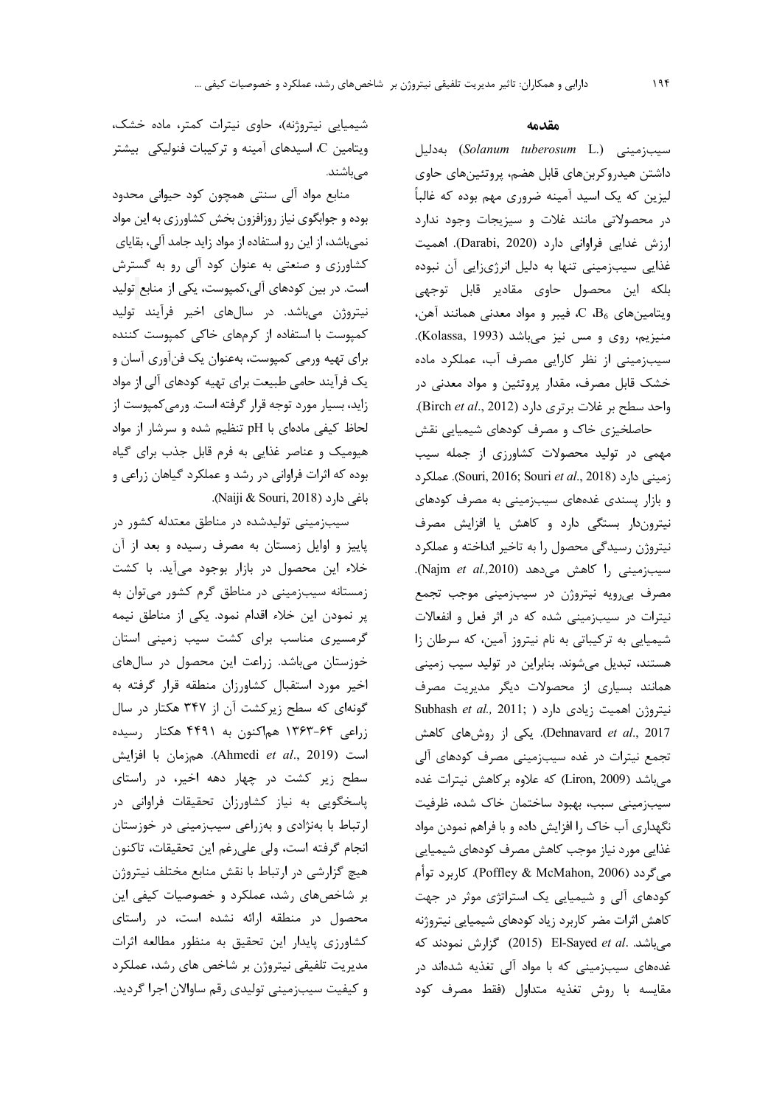شیمیایی نیتروژنه)، حاوی نیترات کمتر، ماده خشک، ویتامین C، اسیدهای آمینه و ترکیبات فنولیکی۔بیشتر مے باشند.

منابع مواد آلی سنتی همچون کود حیوانی محدود بوده و جوابگوی نیاز روزافزون بخش کشاورزی به این مواد نمیباشد، از این رو استفاده از مواد زاید جامد آلی، بقایای کشاورزی و صنعتی به عنوان کود آلی رو به گسترش است. در بین کودهای آلی،کمپوست، یکی از منابع تولید نیتروژن میباشد. در سالهای اخیر فرآیند تولید کمپوست با استفاده از کرمهای خاکی کمپوست کننده برای تهیه ورمی کمپوست، بهعنوان یک فنآوری آسان و یک فرآیند حامی طبیعت برای تهیه کودهای آلی از مواد زاید، بسیار مورد توجه قرار گرفته است. ورمی کمپوست از لحاظ کیفی مادهای با pH تنظیم شده و سرشار از مواد هیومیک و عناصر غذایی به فرم قابل جذب برای گیاه بوده که اثرات فراوانی در رشد و عملکرد گیاهان زراعی و باغی دارد (Naiji & Souri, 2018).

سیبزمینی تولیدشده در مناطق معتدله کشور در پاییز و اوایل زمستان به مصرف رسیده و بعد از آن خلاء این محصول در بازار بوجود می آید. با کشت زمستانه سیبزمینی در مناطق گرم کشور می توان به پر نمودن این خلاء اقدام نمود. یکی از مناطق نیمه گرمسیری مناسب برای کشت سیب زمینی استان خوزستان میباشد. زراعت این محصول در سالهای اخير مورد استقبال كشاورزان منطقه قرار گرفته به گونهای که سطح زیرکشت آن از ۳۴۷ هکتار در سال زراعی ۶۴–۱۳۶۳ هماکنون به ۴۴۹۱ هکتار رسیده است (Ahmedi et al., 2019). همزمان با افزايش سطح زیر کشت در چهار دهه اخیر، در راستای پاسخگویی به نیاز کشاورزان تحقیقات فراوانی در ارتباط با بهنژادی و بهزراعی سیبزمینی در خوزستان انجام گرفته است، ولي علىرغم اين تحقيقات، تاكنون هیچ گزارشی در ارتباط با نقش منابع مختلف نیتروژن بر شاخصهای رشد، عملکرد و خصوصیات کیفی این محصول در منطقه ارائه نشده است، در راستای کشاورزی پایدار این تحقیق به منظور مطالعه اثرات مدیریت تلفیقی نیتروژن بر شاخص های رشد، عملکرد و کیفیت سیب;مینی تولیدی رقم ساوالان اجرا گردید.

## مقدمه

سیبزمینی (Solanum tuberosum L.) بهدلیل داشتن هیدروکربنهای قابل هضم، پروتئینهای حاوی لیزین که یک اسید آمینه ضروری مهم بوده که غالباً در محصولاتی مانند غلات و سیزیجات وجود ندارد ارزش غدایی فراوانی دارد (Darabi, 2020). اهمیت غذایی سیبزمینی تنها به دلیل انرژیزایی آن نبوده بلکه این محصول حاوی مقادیر قابل توجهی ويتامين هاي  $\rm{B_6}$ ، فيبر و مواد معدني همانند آهن، منيزيم، روى و مس نيز مى باشد (Kolassa, 1993). سیبزمینی از نظر کارایی مصرف آب، عملکرد ماده خشک قابل مصرف، مقدار پروتئین و مواد معدنی در واحد سطح بر غلات برترى دارد (Birch et al., 2012). حاصلخیزی خاک و مصرف کودهای شیمیایی نقش مهمی در تولید محصولات کشاورزی از جمله سیب زميني دارد (Souri, 2016; Souri et al., 2018). عملكرد و بازار پسندی غدههای سیبزمینی به مصرف کودهای نیتروندار بستگی دارد و کاهش یا افزایش مصرف نیتروژن رسیدگی محصول را به تاخیر انداخته و عملکرد سيبزميني را كاهش مي دهد (Najm et al.,2010). مصرف بیرویه نیتروژن در سیبزمینی موجب تجمع نیترات در سیبزمینی شده که در اثر فعل و انفعالات شیمیایی به ترکیباتی به نام نیتروز آمین، که سرطان زا هستند، تبدیل میشوند. بنابراین در تولید سیب زمینی همانند بسیاری از محصولات دیگر مدیریت مصرف Subhash et al., 2011; ) نيتروژن اهميت زيادى دارد Dehnavard et al., 2017). یکی از روشهای کاهش تجمع نیترات در غده سیبزمینی مصرف کودهای آلی میباشد (Liron, 2009) که علاوه برکاهش نیترات غده سيب;ميني سبب، بهبود ساختمان خاک شده، ظرفيت نگهداری آب خاک را افزایش داده و با فراهم نمودن مواد غذایی مورد نیاز موجب کاهش مصرف کودهای شیمیایی مي گردد (Poffley & McMahon, 2006). كاربرد توأم کودهای آلی و شیمیایی یک استراتژی موثر در جهت كاهش اثرات مضر كاربرد زياد كودهاى شيميايي نيتروژنه میباشد. .El-Sayed et al (2015) گزارش نمودند که غدههای سیبزمینی که با مواد آلی تغذیه شدهاند در مقايسه با روش تغذيه متداول (فقط مصرف كود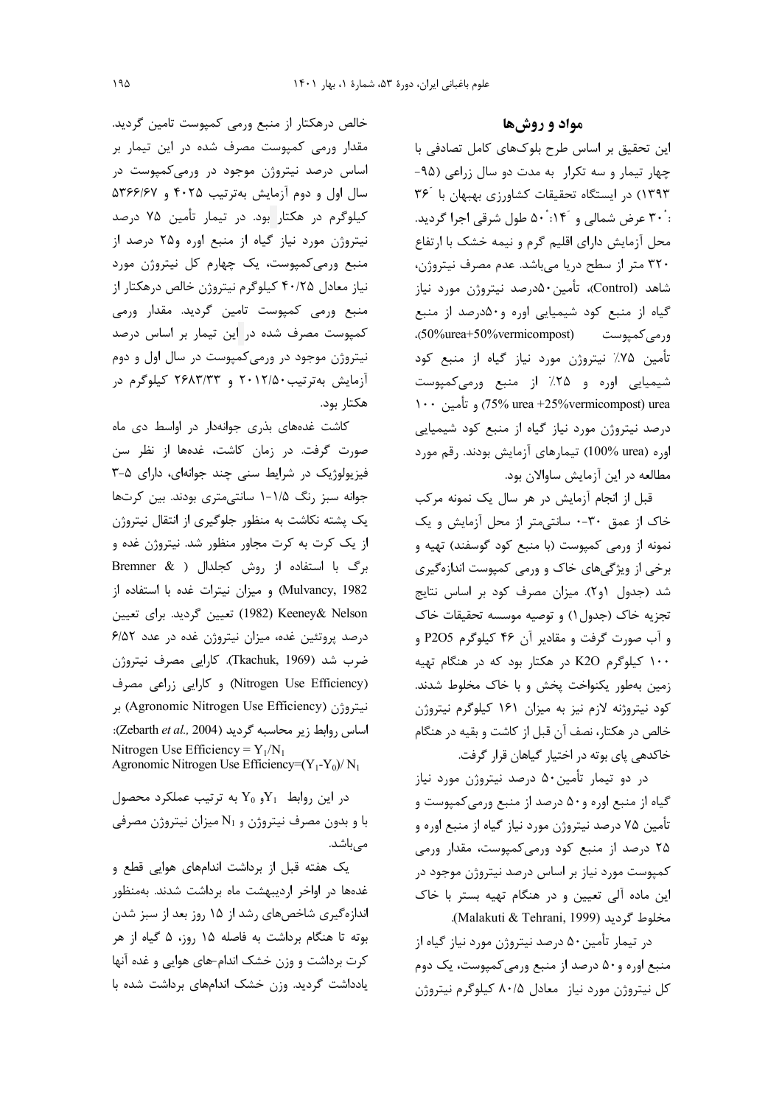خالص درهکتار از منبع ورمی کمپوست تامین گردید. مقدار ورمی کمپوست مصرف شده در این تیمار بر اساس درصد نیتروژن موجود در ورمیکمپوست در سال اول و دوم آزمایش بهترتیب ۴۰۲۵ و ۵۳۶۶/۶۷ کیلوگرم در هکتار بود. در تیمار تأمین ۷۵ درصد نیتروژن مورد نیاز گیاه از منبع اوره و۲۵ درصد از منبع ورمیکمپوست، یک چهارم کل نیتروژن مورد نیاز معادل ۴۰/۲۵ کیلوگرم نیتروژن خالص درهکتار از منبع ورمی کمپوست تامین گردید. مقدار ورمی كمپوست مصرف شده در اين تيمار بر اساس درصد نیتروژن موجود در ورمیکمپوست در سال اول و دوم آزمایش بهترتیب۲/۱۲/۵۰ و ۲۶۸۳/۳۳ کیلوگرم در هكتار بود.

کاشت غدههای بذری جوانهدار در اواسط دی ماه صورت گرفت. در زمان كاشت، غدهها از نظر سن فیزیولوژیک در شرایط سنی چند جوانهای، دارای ۵-۳ جوانه سبز رنگ ۱/۵-۱ سانتی متری بودند. بین کرتها یک پشته نکاشت به منظور جلوگیری از انتقال نیتروژن از یک کرت به کرت مجاور منظور شد. نیتروژن غده و برگ با استفاده از روش کجلدال ( Bremner & Mulvancy, 1982) و ميزان نيترات غده با استفاده از Keeney& Nelson (1982) تعیین گردید. برای تعیین درصد پروتئین غده، میزان نیتروژن غده در عدد ۶/۵۲ ضرب شد (Tkachuk, 1969). كارايي مصرف نيتروژن (Nitrogen Use Efficiency) وكارايي زراعي مصرف نيتروژن (Agronomic Nitrogen Use Efficiency) بر اساس روابط زير محاسبه گرديد (Zebarth et al., 2004): Nitrogen Use Efficiency =  $Y_1/N_1$ Agronomic Nitrogen Use Efficiency=(Y<sub>1</sub>-Y<sub>0</sub>)/N<sub>1</sub>

 $Y_0$  در این روابط  $Y_1$ و  $Y_0$  به ترتیب عملکرد محصول با و بدون مصرف نیتروژن و N<sub>1</sub> میزان نیتروژن مصرفی مے باشد.

یک هفته قبل از برداشت اندامهای هوایی قطع و غدهها در اواخر اردیبهشت ماه برداشت شدند. بهمنظور اندازهگیری شاخصهای رشد از ۱۵ روز بعد از سبز شدن بوته تا هنگام برداشت به فاصله ۱۵ روز، ۵ گیاه از هر کرت برداشت و وزن خشک اندام-های هوایی و غده آنها یادداشت گردید. وزن خشک اندامهای برداشت شده با

مواد و روشها

این تحقیق بر اساس طرح بلوکهای کامل تصادفی با چهار تیمار و سه تکرار به مدت دو سال زراعی (۹۵-١٣٩٣) در ايستگاه تحقيقات كشاورزى بهبهان با ٣۶ : ۳۰ عرض شمالی و ۱۴۰: ۵۰ طول شرقی اجرا گردید. محل آزمایش دارای اقلیم گرم و نیمه خشک با ارتفاع ٣٢٠ متر از سطح دريا مي باشد. عدم مصرف نيتروژن، شاهد (Control)، تأمین۵۰درصد نیتروژن مورد نیاز گیاه از منبع کود شیمیایی اوره و۵۰درصد از منبع ورمي كميوست (50%vermicompost)، تأمین ۷۵٪ نیتروژن مورد نیاز گیاه از منبع کود شیمیایی اوره و ۲۵٪ از منبع ورمیکمپوست 1۰۰ (75% urea +25% vermicompost) و تأمين ۱۰۰ درصد نیتروژن مورد نیاز گیاه از منبع کود شیمیایی اوره (urea) urea رود (100%) تیمارهای آزمایش بودند. رقم مورد مطالعه در این آزمایش ساوالان بود.

قبل از انجام آزمایش در هر سال یک نمونه مرکب خاک از عمق ٣٠-٠ سانتي متر از محل آزمايش و يک نمونه از ورمی کمپوست (با منبع کود گوسفند) تهیه و برخی از ویژگیهای خاک و ورمی کمپوست اندازهگیری شد (جدول (و۲). میزان مصرف کود بر اساس نتایج تجزيه خاک (جدول ۱) و توصيه موسسه تحقيقات خاک و آب صورت گرفت و مقادیر آن ۴۶ کیلوگرم P2O5 و ۱۰۰ کیلوگرم K2O در هکتار بود که در هنگام تهیه زمین بهطور یکنواخت پخش و با خاک مخلوط شدند. کود نیتروژنه لازم نیز به میزان ۱۶۱ کیلوگرم نیتروژن خالص در هکتار، نصف آن قبل از کاشت و بقیه در هنگام خاکدهی پای بوته در اختیار گیاهان قرار گرفت.

در دو تیمار تأمین۵۰ درصد نیتروژن مورد نیاز گیاه از منبع اوره و۵۰ درصد از منبع ورمیکمپوست و تأمین ۷۵ درصد نیتروژن مورد نیاز گیاه از منبع اوره و ۲۵ درصد از منبع کود ورمیکمپوست، مقدار ورمی کمپوست مورد نیاز بر اساس درصد نیتروژن موجود در این ماده آلی تعیین و در هنگام تهیه بستر با خاک .(Malakuti & Tehrani, 1999).

در تیمار تأمین ۵۰ درصد نیتروژن مورد نیاز گیاه از منبع اوره و۵۰ درصد از منبع ورمی کمپوست، یک دوم کل نیتروژن مورد نیاز معادل ۸۰/۵ کیلوگرم نیتروژن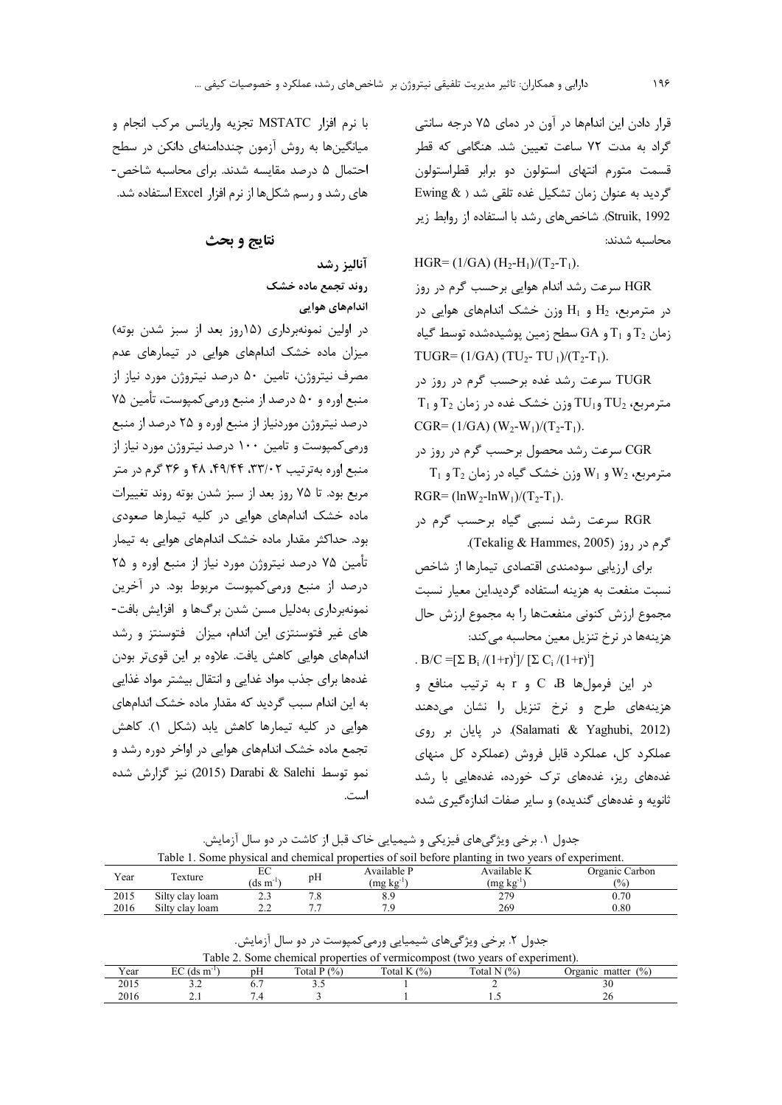قرار دادن این اندامها در آون در دمای ۷۵ درجه سانتی گراد به مدت ۷۲ ساعت تعیین شد. هنگامی که قطر قسمت متورم انتهاى استولون دو برابر قطراستولون گردید به عنوان زمان تشکیل غده تلقی شد ( Ewing & Struik, 1992. شاخصهای رشد با استفاده از روابط زیر محاسبه شدند:

HGR=  $(1/GA)$   $(H_2-H_1)/(T_2-T_1)$ . HGR سرعت رشد اندام هوایی برحسب گرم در روز  $H_1$  در مترمربع،  $H_2$  و  $H_1$  وزن خشک اندامهای هوایی در زمان  $T_1$  و  $T_1$  و  $G$ A سطح زمین پوشیدهشده توسط گیاه TUGR= $(1/GA)$  (TU<sub>2</sub>-TU<sub>1</sub>)/(T<sub>2</sub>-T<sub>1</sub>). TUGR سرعت رشد غده برحسب گرم در روز در  $T_1$  مترمربع،  $TU_2$  و $TU_1$  وزن خشک غده در زمان  $T_2$  و  $CGR = (1/GA) (W_2-W_1)/(T_2-T_1).$ CGR سرعت رشد محصول برحسب گرم در روز در  $T_1$  مترمربع، 2 $W_2$  و  $W_1$  وزن خشک گیاه در زمان  $T_2$  و  $RGR = (lnW_2 - lnW_1)/(T_2 - T_1).$ RGR سرعت رشد نسبی گیاه برحسب گرم در گرم در , وز (Tekalig & Hammes, 2005).

برای ارزیابی سودمندی اقتصادی تیمارها از شاخص نسبت منفعت به هزینه استفاده گردید.این معیار نسبت مجموع ارزش كنوني منفعتها را به مجموع ارزش حال هزینهها در نرخ تنزیل معین محاسبه میکند:

. B/C =  $[\Sigma B_i / (1+r)^i]/[\Sigma C_i / (1+r)^i]$  $\mathbf c$  در این فرمولها  $\mathbf c$  B و r به ترتیب منافع و هزینههای طرح و نرخ تنزیل را نشان میدهند (Salamati & Yaghubi, 2012). در پایان بر روی عملکرد کل، عملکرد قابل فروش (عملکرد کل منهای غدههای ریز، غدههای ترک خورده، غدههایی با رشد ثانويه و غدههای گنديده) و ساير صفات اندازهگيری شده

با نرم افزار MSTATC تجزيه واريانس مركب انجام و میانگینها به روش آزمون چنددامنهای دانکن در سطح احتمال ۵ درصد مقایسه شدند. برای محاسبه شاخص-های رشد و رسم شکلها از نرم افزار Excel استفاده شد.

نتايج و بحث

آناليز رشد روند تجمع ماده خشک اندامهای هوایی

در اولین نمونهبرداری (۱۵روز بعد از سبز شدن بوته) میزان ماده خشک اندامهای هوایی در تیمارهای عدم مصرف نیتروژن، تامین ۵۰ درصد نیتروژن مورد نیاز از منبع اوره و ۵۰ درصد از منبع ورمي كمپوست، تأمين ۷۵ درصد نیتروژن موردنیاز از منبع اوره و ۲۵ درصد از منبع ورمی کمپوست و تامین ۱۰۰ درصد نیتروژن مورد نیاز از منبع اوره بهترتیب ۳۳/۰۲، ۴۹/۴۴، ۴۸ و ۳۶ گرم در متر مربع بود. تا ۷۵ روز بعد از سبز شدن بوته روند تغییرات ماده خشک اندامهای هوایی در کلیه تیمارها صعودی بود. حداکثر مقدار ماده خشک اندامهای هوایی به تیمار تأمین ۷۵ درصد نیتروژن مورد نیاز از منبع اوره و ۲۵ درصد از منبع ورمیکمپوست مربوط بود. در آخرین نمونهبرداری بهدلیل مسن شدن برگها و افزایش بافت-های غیر فتوسنتزی این اندام، میزان فتوسنتز و رشد اندامهای هوایی کاهش یافت. علاوه بر این قویتر بودن غدهها برای جذب مواد غدایی و انتقال بیشتر مواد غذایی به این اندام سبب گردید که مقدار ماده خشک اندامهای هوایی در کلیه تیمارها کاهش یابد (شکل ۱). کاهش تجمع ماده خشک اندامهای هوایی در اواخر دوره رشد و نمو توسط Darabi & Salehi نيز گزارش شده است.

جدول ۱. برخی ویژگیهای فیزیکی و شیمیایی خاک قبل از کاشت در دو سال آزمایش.

| Table 1. Some physical and chemical properties of soil before planting in two years of experiment. |                 |                       |    |                   |                   |                |  |  |
|----------------------------------------------------------------------------------------------------|-----------------|-----------------------|----|-------------------|-------------------|----------------|--|--|
| Year                                                                                               | Texture         | EС                    | pH | Available P       | Available K       | Organic Carbon |  |  |
|                                                                                                    |                 | $ds \, \text{m}^{-1}$ |    | $(mg \; kg^{-1})$ | $(mg \; kg^{-1})$ | $\frac{1}{2}$  |  |  |
| 2015                                                                                               | Silty clay loam |                       |    |                   | 279               | 0.70           |  |  |
| 2016                                                                                               | Silty clay loam |                       |    | 70                | 269               | $0.80\,$       |  |  |

جدول ۲. برخی ویژگیهای شیمیایی ورمی کمیوست در دو سال آزمایش.

| Table 2. Some chemical properties of vermicompost (two years of experiment). |                          |    |               |               |               |                       |  |  |
|------------------------------------------------------------------------------|--------------------------|----|---------------|---------------|---------------|-----------------------|--|--|
| Year                                                                         | $EC$ (ds m <sup>-1</sup> | рH | Total $P(\%)$ | Total $K(\%)$ | Total N $(%)$ | Organic matter $(\%)$ |  |  |
| 2015                                                                         |                          |    |               |               |               |                       |  |  |
| 2016                                                                         |                          |    |               |               |               |                       |  |  |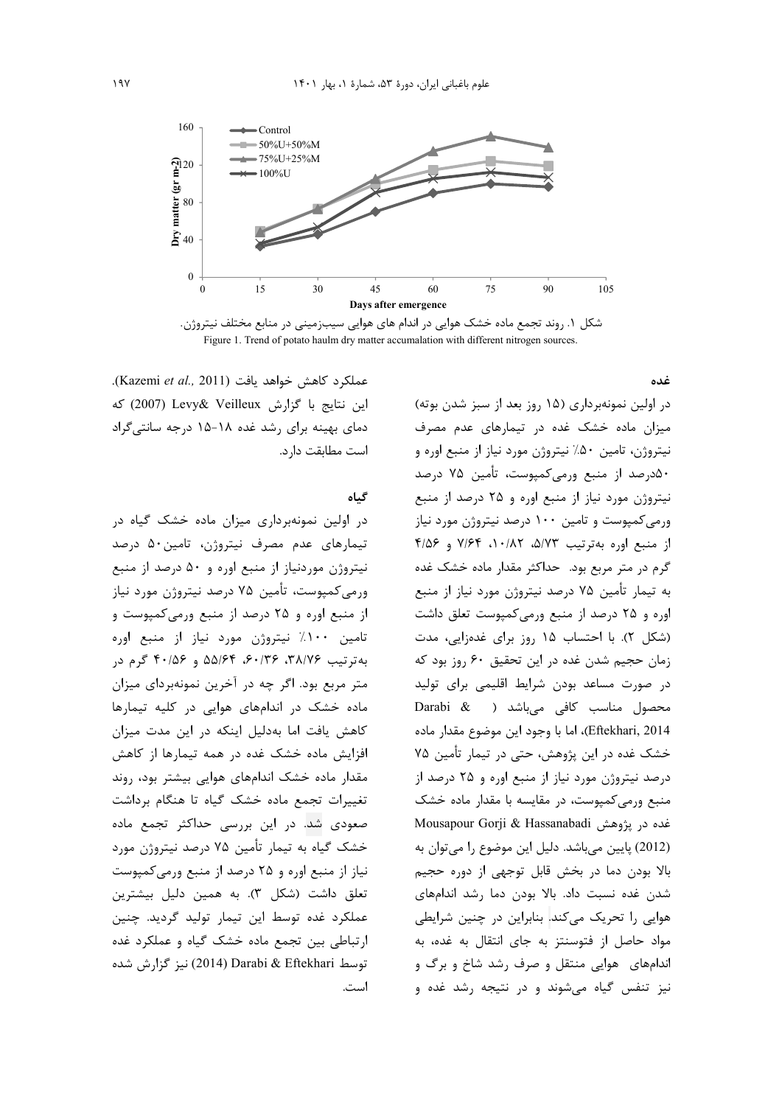

شکل ۱. روند تجمع ماده خشک هوایی در اندام های هوایی سیبزمینی در منابع مختلف نیتروژن. Figure 1. Trend of potato haulm dry matter accumalation with different nitrogen sources.

غده

عملكرد كاهش خواهد يافت (Kazemi et al., 2011). این نتایج با گزارش Levy& Veilleux (2007) که دمای بهینه برای رشد غده ۱۸-۱۵ درجه سانتیگراد است مطابقت دارد.

گىاە

در اولین نمونهبرداری میزان ماده خشک گیاه در تیمارهای عدم مصرف نیتروژن، تامین۵۰ درصد نیتروژن موردنیاز از منبع اوره و ۵۰ درصد از منبع ورمیکمپوست، تأمین ۷۵ درصد نیتروژن مورد نیاز از منبع اوره و ۲۵ درصد از منبع ورمی کمپوست و تامین ۱۰۰٪ نیتروژن مورد نیاز از منبع اوره به ترتیب ۳۸/۷۶، ۳۶۰/۳۶، ۵۵/۶۴ و ۴۰/۵۶ گرم در متر مربع بود. اگر چه در آخرین نمونهبردای میزان ماده خشک در اندامهای هوایی در کلیه تیمارها کاهش یافت اما بهدلیل اینکه در این مدت میزان افزایش ماده خشک غده در همه تیمارها از کاهش مقدار ماده خشک اندامهای هوایی بیشتر بود، روند تغییرات تجمع ماده خشک گیاه تا هنگام برداشت صعودی شد. در این بررسی حداکثر تجمع ماده خشک گیاه به تیمار تأمین ۷۵ درصد نیتروژن مورد نیاز از منبع اوره و ۲۵ درصد از منبع ورمی کمپوست تعلق داشت (شکل ۳). به همین دلیل بیشترین عملکرد غده توسط این تیمار تولید گردید. چنین ارتباطی بین تجمع ماده خشک گیاه و عملکرد غده توسط Darabi & Eftekhari (2014) نيز گزارش شده است.

در اولین نمونهبرداری (۱۵ روز بعد از سبز شدن بوته) میزان ماده خشک غده در تیمارهای عدم مصرف نیتروژن، تامین ۵۰٪ نیتروژن مورد نیاز از منبع اوره و ۵۰درصد از منبع ورمیکمپوست، تأمین ۷۵ درصد نیتروژن مورد نیاز از منبع اوره و ۲۵ درصد از منبع ورمی کمپوست و تامین ۱۰۰ درصد نیتروژن مورد نیاز از منبع اوره بهترتيب ٥/٧٣، ١٠/٨٢، ٧/۶۴ و ٤/٥۶ گرم در متر مربع بود. حداکثر مقدار ماده خشک غده به تیمار تأمین ۷۵ درصد نیتروژن مورد نیاز از منبع اوره و ۲۵ درصد از منبع ورمی کمیوست تعلق داشت (شکل ۲). با احتساب ۱۵ روز برای غدهزایی، مدت زمان حجیم شدن غده در این تحقیق ۶۰ روز بود که در صورت مساعد بودن شرایط اقلیمی برای تولید Darabi & ) مناسب كافى مىباشد Eftekhari, 2014)، اما با وجود اين موضوع مقدار ماده خشک غده در این پژوهش، حتی در تیمار تأمین ۷۵ درصد نیتروژن مورد نیاز از منبع اوره و ۲۵ درصد از منبع ورمی کمپوست، در مقایسه با مقدار ماده خشک Mousapour Gorji & Hassanabadi غده در پژوهش (2012) پایین میباشد. دلیل این موضوع را میتوان به بالا بودن دما در بخش قابل توجهي از دوره حجيم شدن غده نسبت داد. بالا بودن دما رشد اندامهای هوایی را تحریک میکند. بنابراین در چنین شرایطی مواد حاصل از فتوسنتز به جای انتقال به غده، به اندامهای هوایی منتقل و صرف رشد شاخ و برگ و نیز تنفس گیاه می شوند و در نتیجه رشد غده و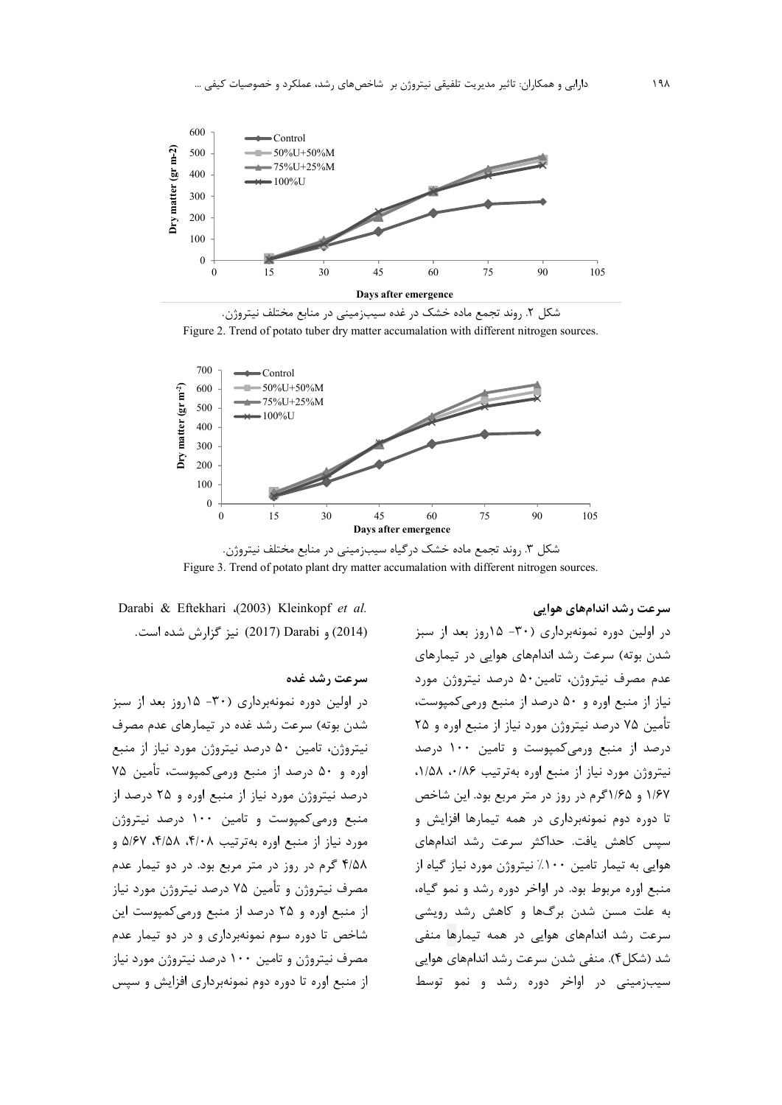

شکل ۲. روند تجمع ماده خشک در غده سیبزمینی در منابع مختلف نیتروژن. Figure 2. Trend of potato tuber dry matter accumalation with different nitrogen sources.



شکل ۳. روند تجمع ماده خشک درگیاه سیبزمینی در منابع مختلف نیتروژن. Figure 3. Trend of potato plant dry matter accumalation with different nitrogen sources.

سرعت رشد اندامهای هوایی

در اولین دوره نمونهبرداری (۳۰- ۱۵روز بعد از سبز شدن بوته) سرعت رشد اندامهای هوایی در تیمارهای عدم مصرف نیتروژن، تامین۵۰ درصد نیتروژن مورد نیاز از منبع اوره و ۵۰ درصد از منبع ورمی کمپوست، تأمين ٧۵ درصد نيتروژن مورد نياز از منبع اوره و ٢٥ درصد از منبع ورمیکمپوست و تامین ۱۰۰ درصد نیتروژن مورد نیاز از منبع اوره بهترتیب ۰/۵۶، ۱/۵۸، ۱/۶۷ و ۱/۶۵گرم در روز در متر مربع بود. این شاخص تا دوره دوم نمونهبرداری در همه تیمارها افزایش و سیس کاهش یافت. حداکثر سرعت رشد اندامهای هوایی به تیمار تامین ۱۰۰٪ نیتروژن مورد نیاز گیاه از منبع اوره مربوط بود. در اواخر دوره رشد و نمو گیاه، به علت مسن شدن برگها و کاهش رشد رویش*ی* سرعت رشد اندامهای هوایی در همه تیمارها منفی شد (شکل۴). منفی شدن سرعت رشد اندامهای هوایی سیبزمینی در اواخر دوره رشد و نمو توسط

Darabi & Eftekhari (2003) Kleinkopf et al. (2014) و Darabi (2017) نيز گزارش شده است.

# سرعت رشد غده

در اولین دوره نمونهبرداری (۳۰- ۱۵روز بعد از سبز شدن بوته) سرعت رشد غده در تیمارهای عدم مصرف نیتروژن، تامین ۵۰ درصد نیتروژن مورد نیاز از منبع اوره و ۵۰ درصد از منبع ورمی کمپوست، تأمین ۷۵ درصد نیتروژن مورد نیاز از منبع اوره و ۲۵ درصد از منبع ورمی کمپوست و تامین ۱۰۰ درصد نیتروژن مورد نیاز از منبع اوره بهترتیب ۴/۰۸، ۴/۵۸، ۵/۶۷ و ۴/۵۸ گرم در روز در متر مربع بود. در دو تیمار عدم مصرف نیتروژن و تأمین ۷۵ درصد نیتروژن مورد نیاز از منبع اوره و ۲۵ درصد از منبع ورمی کمپوست این شاخص تا دوره سوم نمونهبرداری و در دو تیمار عدم مصرف نیتروژن و تامین ۱۰۰ درصد نیتروژن مورد نیاز از منبع اوره تا دوره دوم نمونهبرداری افزایش و سپس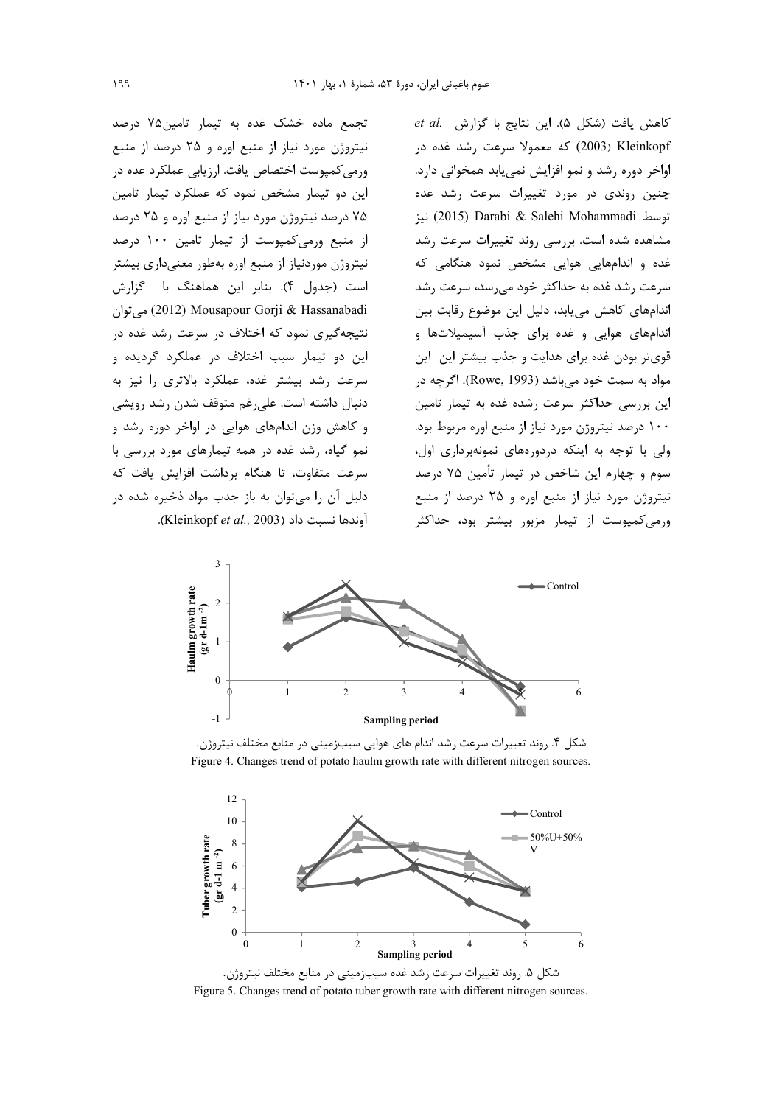تجمع ماده خشک غده به تیمار تامین۷۵ درصد نیتروژن مورد نیاز از منبع اوره و ۲۵ درصد از منبع ورمی کمپوست اختصاص یافت. ارزیابی عملکرد غده در این دو تیمار مشخص نمود که عملکرد تیمار تامین ۷۵ درصد نیتروژن مورد نیاز از منبع اوره و ۲۵ درصد از منبع ورمی کمپوست از تیمار تامین ۱۰۰ درصد نیتروژن موردنیاز از منبع اوره بهطور معنیداری بیشتر است (جدول ۴). بنابر اين هماهنگ با گزارش می توان (2012) Mousapour Gorji & Hassanabadi نتیجهگیری نمود که اختلاف در سرعت رشد غده در این دو تیمار سبب اختلاف در عملکرد گردیده و سرعت رشد بیشتر غده، عملکرد بالاتری را نیز به دنبال داشته است. على رغم متوقف شدن رشد رويشي و کاهش وزن اندامهای هوایی در اواخر دوره رشد و نمو گیاه، رشد غده در همه تیمارهای مورد بررسی با سرعت متفاوت، تا هنگام برداشت افزایش یافت که دليل آن را مي توان به باز جدب مواد ذخيره شده در آوندها نسبت داد (Kleinkopf et al., 2003).

et al. (شكل ۵). اين نتايج با گزارش et al. 2003) Kleinkopf که معمولا سرعت رشد غده در اواخر دوره رشد و نمو افزایش نمی یابد همخوانی دارد. چنین روندی در مورد تغییرات سرعت رشد غده توسط Salehi Mohammadi (2015) نيز مشاهده شده است. بررسی روند تغییرات سرعت رشد غده و اندامهایی هوایی مشخص نمود هنگامی که سرعت رشد غده به حداکثر خود می رسد، سرعت رشد اندامهای کاهش می بابد، دلیل این موضوع رقابت بین اندامهای هوایی و غده برای جذب آسیمیلاتها و قوی تر بودن غده برای هدایت و جذب بیشتر این این مواد به سمت خود می باشد (Rowe, 1993). اگرچه در این بررسی حداکثر سرعت رشده غده به تیمار تامین ۱۰۰ درصد نیتروژن مورد نیاز از منبع اوره مربوط بود. ولی با توجه به اینکه دردورههای نمونهبرداری اول، سوم و چهارم این شاخص در تیمار تأمین ۷۵ درصد نیتروژن مورد نیاز از منبع اوره و ۲۵ درصد از منبع ورمی کمپوست از تیمار مزبور بیشتر بود، حداکثر



شکل ۴. روند تغییرات سرعت رشد اندام های هوایی سیبزمینی در منابع مختلف نیتروژن. Figure 4. Changes trend of potato haulm growth rate with different nitrogen sources



Figure 5. Changes trend of potato tuber growth rate with different nitrogen sources.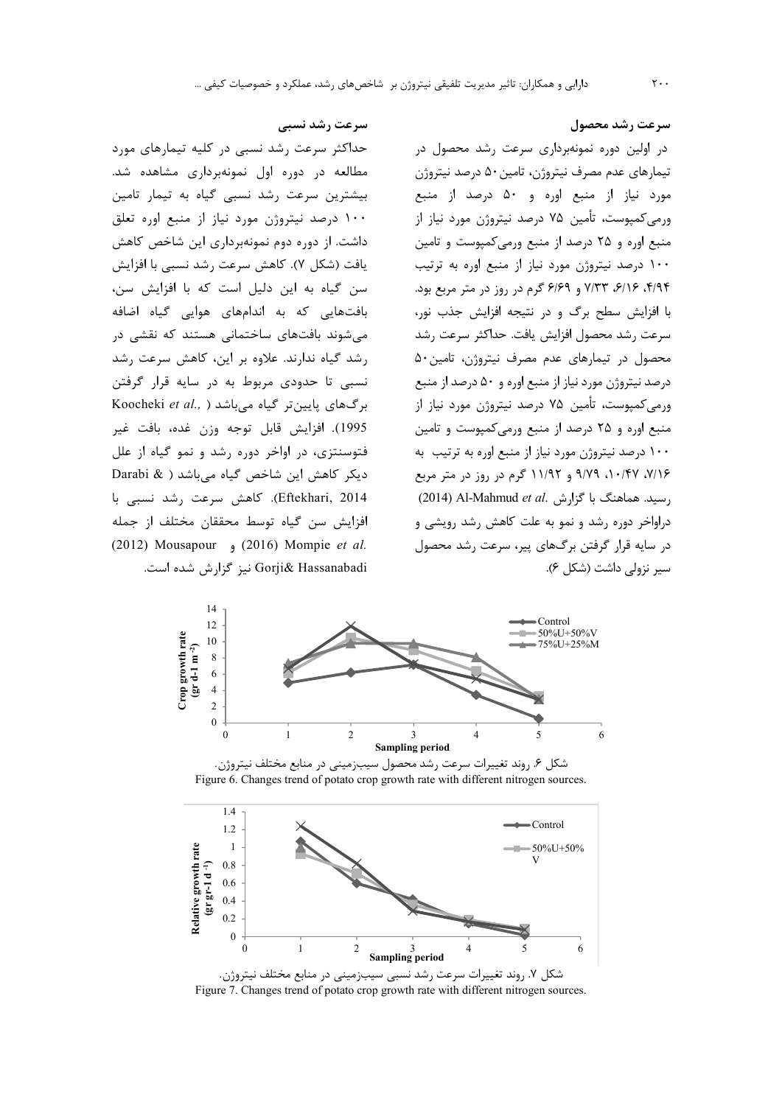سرعت رشد محصول در اولین دوره نمونهبرداری سرعت رشد محصول در تیمارهای عدم مصرف نیتروژن، تامین ۵۰ درصد نیتروژن مورد نیاز از منبع اوره و ۵۰ درصد از منبع ورمی کمپوست، تأمین ۷۵ درصد نیتروژن مورد نیاز از منبع اوره و ۲۵ درصد از منبع ورمی کمپوست و تامین ۱۰۰ درصد نیتروژن مورد نیاز از منبع اوره به ترتیب ۴/۹۴، ۶/۱۶، ۷/۳۳ و ۶/۶۹ گرم در روز در متر مربع بود. با افزایش سطح برگ و در نتیجه افزایش جذب نور، سرعت رشد محصول افزايش يافت. حداكثر سرعت رشد محصول در تیمارهای عدم مصرف نیتروژن، تامین ۵۰ درصد نیتروژن مورد نیاز از منبع اوره و ۵۰ درصد از منبع ورمی کمپوست، تأمین ۷۵ درصد نیتروژن مورد نیاز از منبع اوره و ۲۵ درصد از منبع ورمی کمپوست و تامین ۱۰۰ درصد نیتروژن مورد نیاز از منبع اوره به ترتیب به ۷/۱۶، ۰/۴۷، ۹/۷۹ و ۱۱/۹۲ گرم در روز در متر مربع (2014) Al-Mahmud et al. بسید. هماهنگ با گزارش, د,اواخر دوره رشد و نمو به علت کاهش رشد رویشی و در سایه قرار گرفتن برگ@ای پیر، سرعت رشد محصول

حداکثر سرعت رشد نسبی در کلیه تیمارهای مورد مطالعه در دوره اول نمونهبرداری مشاهده شد. بیشترین سرعت رشد نسبی گیاه به تیمار تامین ۱۰۰ درصد نیتروژن مورد نیاز از منبع اوره تعلق داشت. از دوره دوم نمونهبرداری این شاخص کاهش يافت (شكل ٧). كاهش سرعت رشد نسبي با افزايش سن گیاه به این دلیل است که با افزایش سن، بافتهایی که به اندامهای هوایی گیاه اضافه مے شوند بافتھای ساختمانی هستند که نقشی در رشد گیاه ندارند. علاوه بر این، کاهش سرعت رشد نسبي تا حدودي مربوط به در سايه قرار گرفتن Koocheki et al., ) برگهای پایین تر گیاه میباشد 1995). افزايش قابل توجه وزن غده، بافت غير فتوسنتزی، در اواخر دوره رشد و نمو گیاه از علل دیکر کاهش این شاخص گیاه میباشد ( & Darabi Eftekhari, 2014). كاهش سرعت رشد نسبى با افزايش سن گياه توسط محققان مختلف از جمله (2012) Mousapour (2016) Mompie et al.



شکل ۶. روند تغییرات سرعت رشد محصول سیبزمینی در منابع مختلف نیتروژن. Figure 6. Changes trend of potato crop growth rate with different nitrogen sources.



شکل ۷. روند تغییرات سرعت رشد نسبی سیبزمینی در منابع مختلف نیتروژن. Figure 7. Changes trend of potato crop growth rate with different nitrogen sources.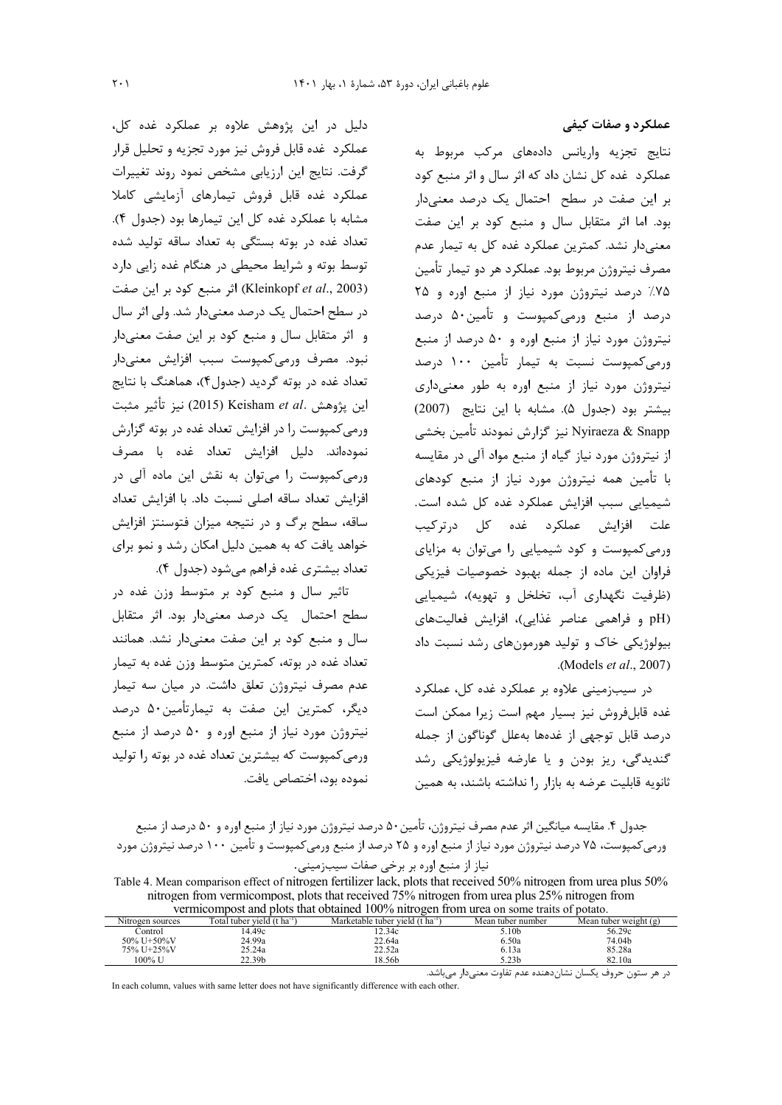عملکرد و صفات کیفی

نتايج تجزيه واريانس دادههاى مركب مربوط به عملکرد غده کل نشان داد که اثر سال و اثر منبع کود بر این صفت در سطح احتمال یک درصد معنی دار بود. اما اثر متقابل سال و منبع کود بر این صفت معنیدار نشد. کمترین عملکرد غده کل به تیمار عدم مصرف نيتروژن مربوط بود. عملكرد هر دو تيمار تأمين ۷۵٪ درصد نیتروژن مورد نیاز از منبع اوره و ۲۵ درصد از منبع ورمیکمپوست و تأمین۵۰ درصد نیتروژن مورد نیاز از منبع اوره و ۵۰ درصد از منبع ورمی کمپوست نسبت به تیمار تأمین ۱۰۰ درصد نیتروژن مورد نیاز از منبع اوره به طور معنیداری بيشتر بود (جدول ۵). مشابه با اين نتايج (2007) Nyiraeza & Snapp نيز گزارش نمودند تأمين بخشي از نیتروژن مورد نیاز گیاه از منبع مواد آلی در مقایسه با تأمین همه نیتروژن مورد نیاز از منبع کودهای شیمیایی سبب افزایش عملکرد غده کل شده است. علت افزايش عملكرد غده كل درتركيب ورمی کمپوست و کود شیمیایی را میتوان به مزایای فراوان این ماده از جمله بهبود خصوصیات فیزیکی (ظرفیت نگهداری آب، تخلخل و تهویه)، شیمیایی pH) وفراهمی عناصر غذایی)، افزایش فعالیتهای بیولوژیکی خاک و تولید هورمونهای رشد نسبت داد .(Models et al., 2007).

در سیبزمینی علاوه بر عملکرد غده کل، عملکرد غده قابلفروش نیز بسیار مهم است زیرا ممکن است درصد قابل توجهي از غدهها بهعلل گوناگون از جمله گنديدگى، ريز بودن و يا عارضه فيزيولوژيكى رشد ثانویه قابلیت عرضه به بازار را نداشته باشند، به همین

دليل در اين پژوهش علاوه بر عملكرد غده كل، عملكرد غده قابل فروش نيز مورد تجزيه و تحليل قرار گرفت. نتایج این ارزیابی مشخص نمود روند تغییرات عملکرد غده قابل فروش تیمارهای آزمایشی کاملا مشابه با عملكرد غده كل اين تيمارها بود (جدول ۴). تعداد غده در بوته بستگی به تعداد ساقه تولید شده توسط بوته و شرایط محیطی در هنگام غده زایی دارد (Kleinkopf et al., 2003) اثر منبع كود بر اين صفت در سطح احتمال یک درصد معنیدار شد. ولی اثر سال و اثر متقابل سال و منبع کود بر این صفت معنیدار نبود. مصرف ورمیکمپوست سبب افزایش معنیدار تعداد غده در بوته گردید (جدول۴)، هماهنگ با نتایج اين پژوهش .Keisham *et al (*2015) نيز تأثير مثبت ورمی کمپوست را در افزایش تعداد غده در بوته گزارش نمودهاند. دليل افزايش تعداد غده با مصرف ورمی کمپوست را می توان به نقش این ماده آلی در افزايش تعداد ساقه اصلى نسبت داد. با افزايش تعداد ساقه، سطح برگ و در نتیجه میزان فتوسنتز افزایش خواهد یافت که به همین دلیل امکان رشد و نمو برای تعداد بيشتري غده فراهم مي شود (جدول ۴).

تاثیر سال و منبع کود بر متوسط وزن غده در سطح احتمال یک درصد معنیدار بود. اثر متقابل سال و منبع کود بر این صفت معنیدار نشد. همانند تعداد غده در بوته، کمترین متوسط وزن غده به تیمار عدم مصرف نیتروژن تعلق داشت. در میان سه تیمار ديگر، كمترين اين صفت به تيمارتأمين٥٠ درصد نیتروژن مورد نیاز از منبع اوره و ۵۰ درصد از منبع ورمی کمپوست که بیشترین تعداد غده در بوته را تولید نموده بود، اختصاص يافت.

| جدول ۴. مقایسه میانگین اثر عدم مصرف نیتروژن، تأمین۵۰ درصد نیتروژن مورد نیاز از منبع اوره و ۵۰ درصد از منبع      |  |
|-----------------------------------------------------------------------------------------------------------------|--|
| ورمی کمپوست، ۷۵ درصد نیتروژن مورد نیاز از منبع اوره و ۲۵ درصد از منبع ورمی کمپوست و تأمین ۱۰۰ درصد نیتروژن مورد |  |
| نیاز از منبع اورہ بر برخی صفات سیبزمینی.                                                                        |  |

| Table 4. Mean comparison effect of nitrogen fertilizer lack, plots that received 50% nitrogen from urea plus 50%                                                                           |  |  |  |  |  |  |  |
|--------------------------------------------------------------------------------------------------------------------------------------------------------------------------------------------|--|--|--|--|--|--|--|
| nitrogen from vermicompost, plots that received 75% nitrogen from urea plus 25% nitrogen from                                                                                              |  |  |  |  |  |  |  |
| vermicompost and plots that obtained 100% nitrogen from urea on some traits of potato.                                                                                                     |  |  |  |  |  |  |  |
| $\Gamma$ atal tukan viald (t.ko <sup>-1</sup> ) Monkatakla tukan viald (t.ko <sup>-1</sup> ) Moon tukan nymbon<br>$M_{\text{max}}$ to keep we calculate $(\alpha)$<br>Alitan non corrector |  |  |  |  |  |  |  |

| N <sub>1</sub> trogen sources | Fotal tuber vield (t ha <sup>-1</sup> | Marketable tuber vield (t ha <sup>-1</sup> | Mean tuber number | Mean tuber weight (g) |
|-------------------------------|---------------------------------------|--------------------------------------------|-------------------|-----------------------|
| Control                       | 14.49c                                | 12.34c                                     | 5.10b             | 56.29c                |
| 50% U+50%V                    | 24.99a                                | 22.64a                                     | 6.50a             | 74.04b                |
| 75% U+25%V                    | 25.24a                                | 22.52a                                     | 6.13a             | 85.28a                |
| 100% U                        | 22.39b                                | l 8.56b                                    | 5.23b             | 82.10a                |

در هر ستون حروف یکسان نشاندهنده عدم تفاوت معنیدار میباشد.

In each column, values with same letter does not have significantly difference with each other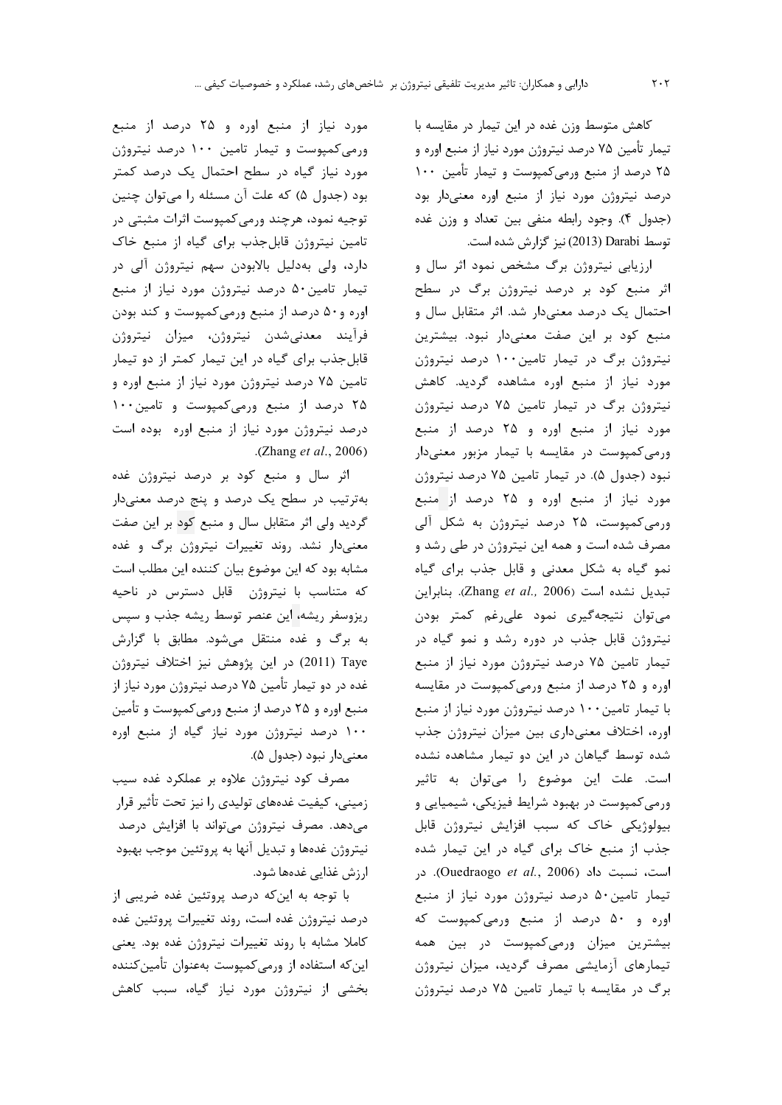كاهش متوسط وزن غده در اين تيمار در مقايسه با تیمار تأمین ۷۵ درصد نیتروژن مورد نیاز از منبع اوره و ۲۵ درصد از منبع ورمیکمپوست و تیمار تأمین ۱۰۰ درصد نیتروژن مورد نیاز از منبع اوره معنیدار بود (جدول ۴). وجود رابطه منفي بين تعداد و وزن غده توسط Darabi (2013) نيز گزارش شده است.

ارزیابی نیتروژن برگ مشخص نمود اثر سال و اثر منبع کود بر درصد نیتروژن برگ در سطح احتمال یک درصد معنیدار شد. اثر متقابل سال و منبع کود بر این صفت معنیدار نبود. بیشترین نیتروژن برگ در تیمار تامین ۱۰۰ درصد نیتروژن مورد نیاز از منبع اوره مشاهده گردید. کاهش نیتروژن برگ در تیمار تامین ۷۵ درصد نیتروژن مورد نیاز از منبع اوره و ۲۵ درصد از منبع ورمی کمپوست در مقایسه با تیمار مزبور معنیدار نبود (جدول ۵). در تیمار تامین ۷۵ درصد نیتروژن مورد نیاز از منبع اوره و ۲۵ درصد از منبع ورمیکمپوست، ۲۵ درصد نیتروژن به شکل آلی مصرف شده است و همه این نیتروژن در طی رشد و نمو گیاه به شکل معدنی و قابل جذب برای گیاه تبديل نشده است (Zhang et al., 2006). بنابراين می توان نتیجهگیری نمود علی رغم کمتر بودن نیتروژن قابل جذب در دوره رشد و نمو گیاه در تیمار تامین ۷۵ درصد نیتروژن مورد نیاز از منبع اوره و ۲۵ درصد از منبع ورمی کمپوست در مقایسه با تیمار تامین ۱۰۰ درصد نیتروژن مورد نیاز از منبع اوره، اختلاف معنىدارى بين ميزان نيتروژن جذب شده توسط گیاهان در این دو تیمار مشاهده نشده است. علت این موضوع را میتوان به تاثیر ورمی کمپوست در بهبود شرایط فیزیکی، شیمیایی و بیولوژیکی خاک که سبب افزایش نیتروژن قابل جذب از منبع خاک برای گیاه در این تیمار شده است، نسبت داد (Ouedraogo et al., 2006). در تیمار تامین۵۰ درصد نیتروژن مورد نیاز از منبع اوره و ۵۰ درصد از منبع ورمیکمپوست که بیشترین میزان ورمیکمپوست در بین همه تیمارهای آزمایشی مصرف گردید، میزان نیتروژن برگ در مقایسه با تیمار تامین ۷۵ درصد نیتروژن

مورد نیاز از منبع اوره و ۲۵ درصد از منبع ورمی کمپوست و تیمار تامین ۱۰۰ درصد نیتروژن مورد نیاز گیاه در سطح احتمال یک درصد کمتر بود (جدول ۵) که علت آن مسئله را می توان چنین توجیه نمود، هرچند ورمیکمپوست اثرات مثبتی در تامین نیتروژن قابل جذب برای گیاه از منبع خاک دارد، ولی بهدلیل بالابودن سهم نیتروژن آلی در تیمار تامین ۵۰ درصد نیتروژن مورد نیاز از منبع اوره و۵۰ درصد از منبع ورمی کمپوست و کند بودن فرأيند معدني شدن نيتروژن، ميزان نيتروژن قابل جذب برای گیاه در این تیمار کمتر از دو تیمار تامین ۷۵ درصد نیتروژن مورد نیاز از منبع اوره و ۲۵ درصد از منبع ورمیکمپوست و تامین ۱۰۰ درصد نیتروژن مورد نیاز از منبع اوره بوده است .(Zhang et al., 2006)

اثر سال و منبع کود بر درصد نیتروژن غده بهترتیب در سطح یک درصد و پنج درصد معنیدار گردید ولی اثر متقابل سال و منبع کود بر این صفت معنیدار نشد. روند تغییرات نیتروژن برگ و غده مشابه بود که این موضوع بیان کننده این مطلب است که متناسب با نیتروژن قابل دسترس در ناحیه ریزوسفر ریشه، این عنصر توسط ریشه جذب و سپس به برگ و غده منتقل میشود. مطابق با گزارش 2011) Taye) در این پژوهش نیز اختلاف نیتروژن غده در دو تیمار تأمین ۷۵ درصد نیتروژن مورد نیاز از منبع اوره و ۲۵ درصد از منبع ورمیکمپوست و تأمین ۱۰۰ درصد نیتروژن مورد نیاز گیاه از منبع اوره معنى دار نبود (جدول ۵).

مصرف کود نیتروژن علاوه بر عملکرد غده سیب زمینی، کیفیت غدههای تولیدی را نیز تحت تأثیر قرار میدهد. مصرف نیتروژن میتواند با افزایش درصد نیتروژن غدهها و تبدیل آنها به پروتئین موجب بهبود ارزش غذایی غدهها شود.

با توجه به این که درصد پروتئین غده ضریبی از درصد نيتروژن غده است، روند تغييرات پروتئين غده كاملا مشابه با روند تغييرات نيتروژن غده بود. يعنى این که استفاده از ورمیکمپوست بهعنوان تأمینکننده بخشی از نیتروژن مورد نیاز گیاه، سبب کاهش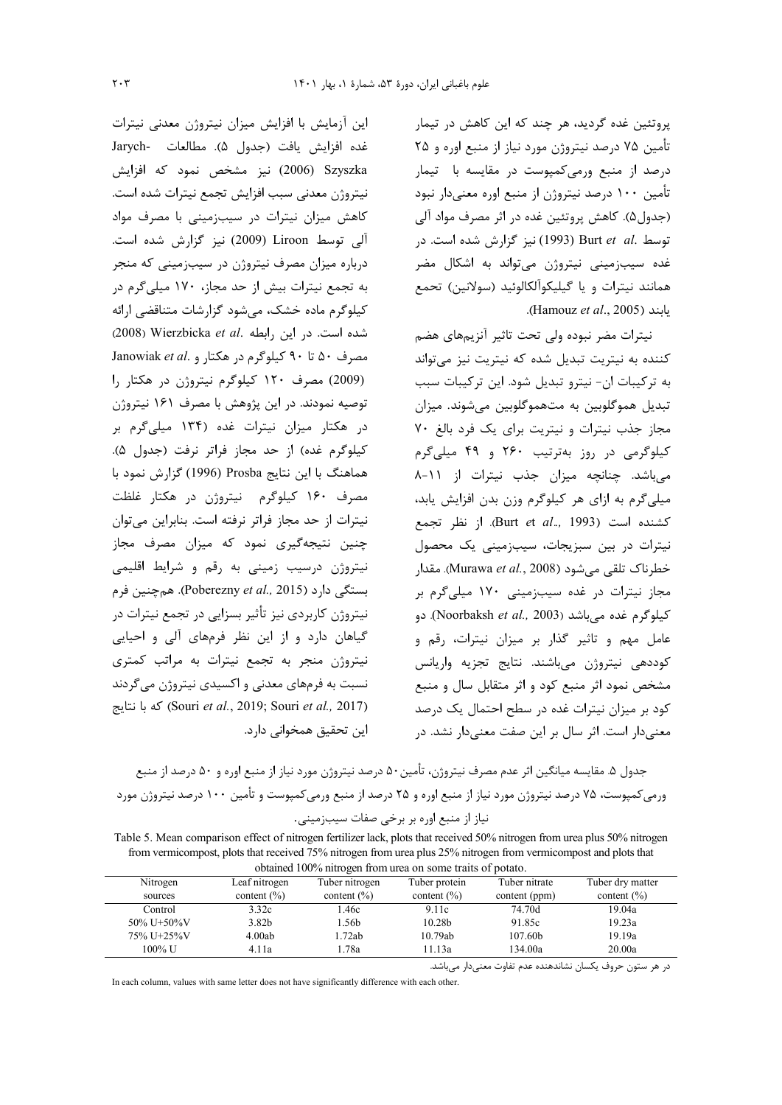.<br>پروتئین غده گردید، هر چند که این کاهش در تیمار تأمين ٧۵ درصد نيتروژن مورد نياز از منبع اوره و ٢۵ درصد از منبع ورمی کمپوست در مقایسه با تیمار تأمین ۱۰۰ درصد نیتروژن از منبع اوره معنیدار نبود (جدول۵). کاهش پروتئین غده در اثر مصرف مواد آلی توسط .Burt et al (1993) نيز گزارش شده است. در غده سیبزمینی نیتروژن میتواند به اشکال مضر همانند نيترات و يا گيليكوآلكالوئيد (سولانين) تحمع .(Hamouz et al., 2005).

نیترات مضر نبوده ولی تحت تاثیر آنزیمهای هضم کننده به نیتریت تبدیل شده که نیتریت نیز می تواند به ترکیبات ان- نیترو تبدیل شود. این ترکیبات سبب تبدیل هموگلوبین به متهموگلوبین میشوند. میزان مجاز جذب نیترات و نیتریت برای یک فرد بالغ ۷۰ کیلوگرمی در روز بهترتیب ۲۶۰ و ۴۹ میلی گرم میباشد. چنانچه میزان جذب نیترات از ۱۱-۸ میلی گرم به ازای هر کیلوگرم وزن بدن افزایش پابد، كشنده است (Burt et al., 1993). از نظر تجمع نیترات در بین سبزیجات، سیبزمینی یک محصول خطرناک تلقی می شود (Murawa *et al.,* 2008). مقدار مجاز نیترات در غده سیبزمینی ۱۷۰ میلیگرم بر کیلوگرم غده می باشد (Noorbaksh et al., 2003). ده عامل مهم و تاثیر گذار بر میزان نیترات، رقم و كوددهى نيتروژن مىباشند. نتايج تجزيه واريانس مشخص نمود اثر منبع كود و اثر متقابل سال و منبع کود بر میزان نیترات غده در سطح احتمال یک درصد معنی دار است. اثر سال بر این صفت معنی دار نشد. در

غده افزايش يافت (جدول ۵). مطالعات -Jarych 2006) 2006) نیز مشخص نمود که افزایش نيتروژن معدني سبب افزايش تجمع نيترات شده است. کاهش میزان نیترات در سیبزمینی با مصرف مواد آلی توسط Liroon (2009) نیز گزارش شده است. درباره میزان مصرف نیتروژن در سیبزمینی که منجر به تجمع نیترات بیش از حد مجاز، ۱۷۰ میلی گرم در کیلوگرم ماده خشک، می شود گزارشات متناقضی ارائه (2008) Wierzbicka et al. بابطه Wierzbicka et al. Janowiak et al. مصرف ٥٠ تا ٩٠ كيلوگرم در هكتار و (2009) مصرف ١٢٠ كيلوگرم نيتروژن در هكتار را توصیه نمودند. در این پژوهش با مصرف ۱۶۱ نیتروژن در هکتار میزان نیترات غده (۱۳۴ میلی گرم بر كيلوگرم غده) از حد مجاز فراتر نرفت (جدول ۵). هماهنگ با این نتایج Prosba (1996) گزارش نمود با مصرف ۱۶۰ کیلوگرم نیتروژن در هکتار غلظت نیترات از حد مجاز فراتر نرفته است. بنابراین می توان چنین نتیجهگیری نمود که میزان مصرف مجاز نیتروژن درسیب زمینی به رقم و شرایط اقلیمی بستگی دارد (Poberezny et al., 2015). همچنین فرم نیتروژن کاربردی نیز تأثیر بسزایی در تجمع نیترات در گیاهان دارد و از این نظر فرمهای آلی و احیایی نیتروژن منجر به تجمع نیترات به مراتب کمتری نسبت به فرمهای معدنی و اکسیدی نیتروژن میگردند (Souri et al., 2019; Souri et al., 2017) كه با نتايج این تحقیق همخوانی دارد.

این آزمایش با افزایش میزان نیتروژن معدنی نیترات

جدول ۵. مقايسه ميانگين اثر عدم مصرف نيتروژن، تأمين ۵۰ درصد نيتروژن مورد نياز از منبع اوره و ۵۰ درصد از منبع ورمی کمپوست، ۷۵ درصد نیتروژن مورد نیاز از منبع اوره و ۲۵ درصد از منبع ورمی کمپوست و تأمین ۱۰۰ درصد نیتروژن مورد نياز از منبع اوره بر برخي صفات سيبزميني.

Table 5. Mean comparison effect of nitrogen fertilizer lack, plots that received 50% nitrogen from urea plus 50% nitrogen from vermicompost, plots that received 75% nitrogen from urea plus 25% nitrogen from vermicompost and plots that obtained 100% nitrogen from urea on some traits of notato

| commod Typ/0 muogen from area on some trans of potato. |                   |                 |                    |               |                                     |  |  |  |
|--------------------------------------------------------|-------------------|-----------------|--------------------|---------------|-------------------------------------|--|--|--|
| Nitrogen                                               | Leaf nitrogen     | Tuber nitrogen  | Tuber protein      | Tuber nitrate | Tuber dry matter<br>content $(\% )$ |  |  |  |
| sources                                                | content $(\% )$   | content $(\% )$ | content $(\% )$    | content (ppm) |                                     |  |  |  |
| Control                                                | 3.32c             | l.46c           | 9.11c              | 74.70d        | 19.04a                              |  |  |  |
| 50% U+50%V                                             | 3.82 <sub>b</sub> | l.56b           | 10.28 <sub>b</sub> | 91.85c        | 19.23a                              |  |  |  |
| 75% U+25%V                                             | 4.00ab            | .72ab           | 10.79ab            | 107.60b       | 19.19a                              |  |  |  |
| 100% U                                                 | 4.11a             | 1.78a           | 11.13a             | 134.00a       | 20.00a                              |  |  |  |

در هر ستون حروف يكسان نشاندهنده عدم تفاوت معنىدار مىباشد.

In each column, values with same letter does not have significantly difference with each other.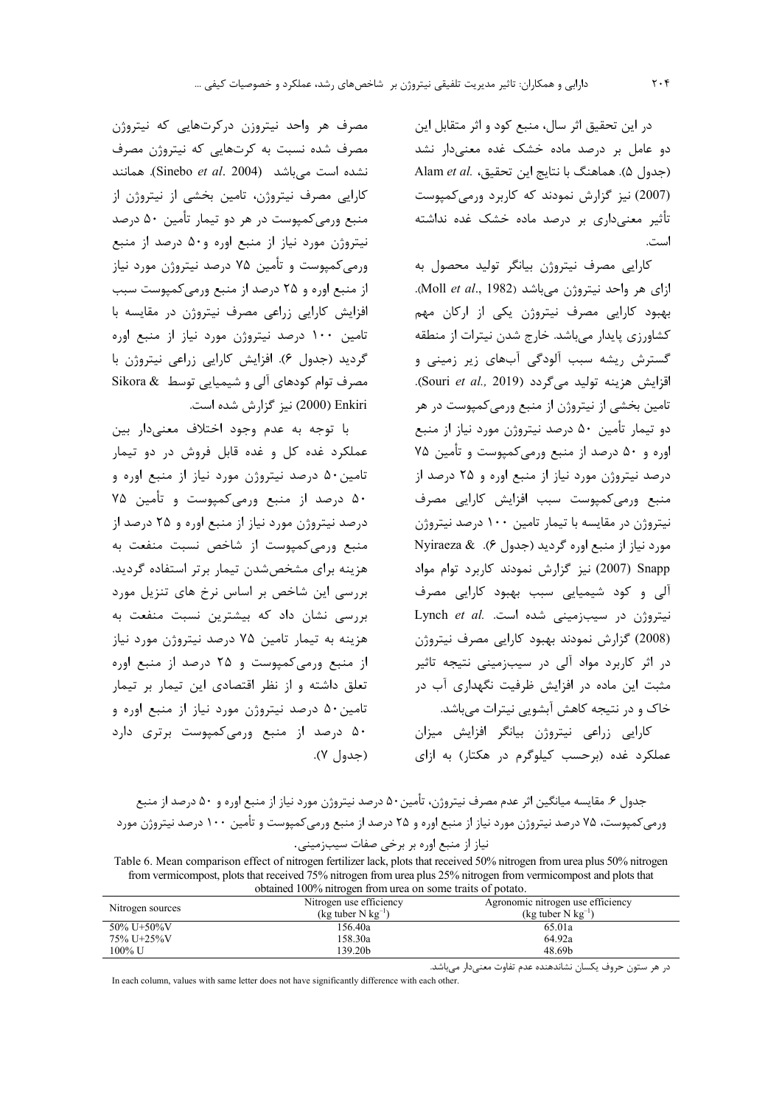در اين تحقيق اثر سال، منبع كود و اثر متقابل اين دو عامل بر درصد ماده خشک غده معنیدار نشد Alam et al. (جدول ۵). هماهنگ با نتایج این تحقیق، Alam et al. (2007) نیز گزارش نمودند که کاربرد ورمی کمپوست تأثیر معنیداری بر درصد ماده خشک غده نداشته است.

کارایی مصرف نیتروژن بیانگر تولید محصول به ازای هر واحد نیتروژن میباشد (Moll et al., 1982). بھبود کارایی مصرف نیتروژن یکی از ارکان مهم کشاورزی پایدار میباشد. خارج شدن نیترات از منطقه گسترش ریشه سبب آلودگی آبهای زیر زمینی و اقزايش هزينه توليد مي گردد (Souri et al., 2019). تامین بخشی از نیتروژن از منبع ورمی کمپوست در هر دو تیمار تأمین ۵۰ درصد نیتروژن مورد نیاز از منبع اوره و ۵۰ درصد از منبع ورمی کمیوست و تأمین ۷۵ درصد نیتروژن مورد نیاز از منبع اوره و ۲۵ درصد از منبع ورمى كمپوست سبب افزايش كارايي مصرف نیتروژن در مقایسه با تیمار تامین ۱۰۰ درصد نیتروژن Myiraeza & .(۶) منبع اوره گردید (جدول ۶). & Nyiraeza Snapp (2007) نیز گزارش نمودند کاربرد توام مواد آلی و کود شیمیایی سبب بهبود کارایی مصرف نيتروژن در سيبزمينى شده است. .Lynch et al (2008) گزارش نمودند بھبود کارایی مصرف نیتروژن در اثر کاربرد مواد آلی در سیبزمینی نتیجه تاثیر مثبت این ماده در افزایش ظرفیت نگهداری آب در خاک و در نتیجه کاهش آبشویی نیترات میباشد.

کارایی زراعی نیتروژن بیانگر افزایش میزان عملکرد غده (برحسب کیلوگرم در هکتار) به ازای

مصرف هر واحد نیتروزن درکرتهایی که نیتروژن مصرف شده نسبت به کرتهایی که نیتروژن مصرف نشده است می باشد (Sinebo et al. 2004). همانند کارایی مصرف نیتروژن، تامین بخشی از نیتروژن از منبع ورمیکمپوست در هر دو تیمار تأمین ۵۰ درصد نیتروژن مورد نیاز از منبع اوره و۵۰ درصد از منبع ورمی کمپوست و تأمین ۷۵ درصد نیتروژن مورد نیاز از منبع اوره و ۲۵ درصد از منبع ورمی کمپوست سبب افزایش کارایی زراعی مصرف نیتروژن در مقایسه با تامین ۱۰۰ درصد نیتروژن مورد نیاز از منبع اوره گردید (جدول ۶). افزایش کارایی زراعی نیتروژن با مصرف توام کودهای آلی و شیمیایی توسط Sikora & Enkiri (2000) نیز گزارش شده است.

با توجه به عدم وجود اختلاف معنىدار بين عملکرد غده کل و غده قابل فروش در دو تیمار تامين ۵۰ درصد نيتروژن مورد نياز از منبع اوره و ۵۰ درصد از منبع ورمیکمپوست و تأمین ۷۵ درصد نیتروژن مورد نیاز از منبع اوره و ۲۵ درصد از منبع ورمی کمپوست از شاخص نسبت منفعت به هزینه برای مشخص شدن تیمار برتر استفاده گردید. بررسی این شاخص بر اساس نرخ های تنزیل مورد بررسی نشان داد که بیشترین نسبت منفعت به هزینه به تیمار تامین ۷۵ درصد نیتروژن مورد نیاز از منبع ورمیکمپوست و ۲۵ درصد از منبع اوره تعلق داشته و از نظر اقتصادی این تیمار بر تیمار تامین ۵۰ درصد نیتروژن مورد نیاز از منبع اوره و ۵۰ درصد از منبع ورمیکمپوست برتری دارد (جدول ۷).

جدول ۶. مقايسه ميانگين اثر عدم مصرف نيتروژن، تأمين ۵۰ درصد نيتروژن مورد نياز از منبع اوره و ۵۰ درصد از منبع ورمی کمپوست، ۷۵ درصد نیتروژن مورد نیاز از منبع اوره و ۲۵ درصد از منبع ورمی کمپوست و تأمین ۱۰۰ درصد نیتروژن مورد

نياز از منبع اوره بر برخي صفات سيبزميني.

Table 6. Mean comparison effect of nitrogen fertilizer lack, plots that received 50% nitrogen from urea plus 50% nitrogen from vermicompost, plots that received 75% nitrogen from urea plus 25% nitrogen from vermicompost and plots that obtained 100% nitrogen from urea on some traits of notate

| obtained Too70 muogen nom area on some trans of potato. |                                  |                                   |  |  |  |
|---------------------------------------------------------|----------------------------------|-----------------------------------|--|--|--|
| Nitrogen sources                                        | Nitrogen use efficiency          | Agronomic nitrogen use efficiency |  |  |  |
|                                                         | (kg tuber $N$ kg <sup>-1</sup> ) | (kg tuber $N$ kg <sup>-1</sup> )  |  |  |  |
| $50\% \text{ U} + 50\% \text{V}$                        | 156.40a                          | 65.01a                            |  |  |  |
| 75% U+25%V                                              | 158.30a                          | 64.92a                            |  |  |  |
| 100% U                                                  | 139.20b                          | 48.69b                            |  |  |  |

در هر ستون حروف يكسان نشاندهنده عدم تفاوت معنىدار مىباشد.

In each column, values with same letter does not have significantly difference with each other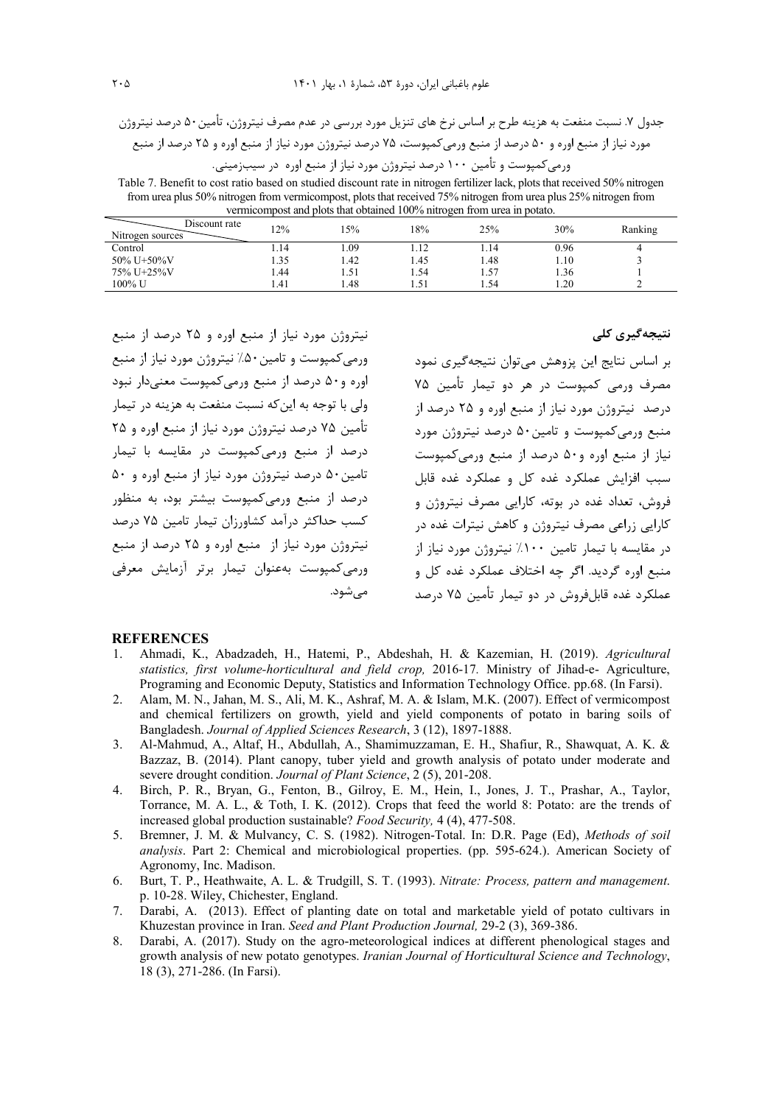جدول ۷. نسبت منفعت به هزینه طرح بر اساس نرخ های تنزیل مورد بررسی در عدم مصرف نیتروژن، تأمین ۵۰ درصد نیتروژن مورد نیاز از منبع اوره و ۵۰ درصد از منبع ورمیکمپوست، ۷۵ درصد نیتروژن مورد نیاز از منبع اوره و ۲۵ درصد از منبع ورمے کمیوست و تأمین ۱۰۰ درصد نیتروژن مورد نیاز از منبع اوره در سیبزمینی.

Table 7. Benefit to cost ratio based on studied discount rate in nitrogen fertilizer lack, plots that received 50% nitrogen from urea plus 50% nitrogen from vermicompost, plots that received 75% nitrogen from urea plus 25% nitrogen from vermicompost and plots that obtained 100% nitrogen from urea in potato.

| Discount rate<br>Nitrogen sources | 12%  | .5%  | 18%    | 25%    | 30%  | Ranking |
|-----------------------------------|------|------|--------|--------|------|---------|
| Control                           | 1.14 | . 09 |        | . . 14 | 0.96 | 4       |
| $50\%$ U+50%V                     | 1.35 | . 42 | . 45   | 1.48   | 1.10 |         |
| 75% U+25%V                        | .44  | 1.51 | . . 54 | 1.57   | . 36 |         |
| 100% U                            | 1.41 | . 48 | 1.51   | 1.54   | 0.20 |         |

نیتروژن مورد نیاز از منبع اوره و ۲۵ درصد از منبع ورمی کمپوست و تامین ۵۰٪ نیتروژن مورد نیاز از منبع اوره و۵۰ درصد از منبع ورمی کمیوست معنی دار نبود ولي با توجه به اين كه نسبت منفعت به هزينه در تيمار تأمین ۷۵ درصد نیتروژن مورد نیاز از منبع اوره و ۲۵ درصد از منبع ورمیکمپوست در مقایسه با تیمار تامين ۵۰ درصد نيتروژن مورد نياز از منبع اوره و ۵۰ درصد از منبع ورمی کمیوست بیشتر بود، به منظور کسب حداکثر درآمد کشاورزان تیمار تامین ۷۵ درصد نيتروژن مورد نياز از -منبع اوره و ۲۵ درصد از منبع ورمی کمیوست بهعنوان تیمار برتر آزمایش معرفی مے شود. نتیجەگیری کلی

بر اساس نتایج این پزوهش می توان نتیجه گیری نمود مصرف ورمے کمیوست در هر دو تیمار تأمین ۷۵ درصد نیتروژن مورد نیاز از منبع اوره و ۲۵ درصد از منبع ورمی کمیوست و تامین۵۰ درصد نیتروژن مورد نیاز از منبع اوره و۵۰ درصد از منبع ورمیکمپوست سبب افزایش عملکرد غده کل و عملکرد غده قابل فروش، تعداد غده در بوته، کارایی مصرف نیتروژن و کارایی زراعی مصرف نیتروژن و کاهش نیترات غده در د, مقایسه با تیما, تامین ۱۰۰٪ نیتروژن مورد نیاز از منبع اوره گرديد. اگر چه اختلاف عملكرد غده كل و عملکرد غده قابلفروش در دو تیمار تأمین ۷۵ درصد

### **REFERENCES**

- Ahmadi, K., Abadzadeh, H., Hatemi, P., Abdeshah, H. & Kazemian, H. (2019). Agricultural  $\mathbf{1}$ . statistics, first volume-horticultural and field crop, 2016-17. Ministry of Jihad-e- Agriculture, Programing and Economic Deputy, Statistics and Information Technology Office. pp.68. (In Farsi).
- $2^{1}$ Alam, M. N., Jahan, M. S., Ali, M. K., Ashraf, M. A. & Islam, M.K. (2007). Effect of vermicompost and chemical fertilizers on growth, yield and yield components of potato in baring soils of Bangladesh. Journal of Applied Sciences Research, 3 (12), 1897-1888.
- 3. Al-Mahmud, A., Altaf, H., Abdullah, A., Shamimuzzaman, E. H., Shafiur, R., Shawquat, A. K. & Bazzaz, B. (2014). Plant canopy, tuber yield and growth analysis of potato under moderate and severe drought condition. Journal of Plant Science, 2 (5), 201-208.
- Birch, P. R., Bryan, G., Fenton, B., Gilroy, E. M., Hein, I., Jones, J. T., Prashar, A., Taylor,  $\overline{4}$ Torrance, M. A. L., & Toth, I. K. (2012). Crops that feed the world 8: Potato: are the trends of increased global production sustainable? Food Security, 4 (4), 477-508.
- Bremner, J. M. & Mulvancy, C. S. (1982). Nitrogen-Total. In: D.R. Page (Ed), Methods of soil 5. analysis. Part 2: Chemical and microbiological properties. (pp. 595-624.). American Society of Agronomy, Inc. Madison.
- 6. Burt, T. P., Heathwaite, A. L. & Trudgill, S. T. (1993). Nitrate: Process, pattern and management. p. 10-28. Wiley, Chichester, England.
- Darabi, A. (2013). Effect of planting date on total and marketable yield of potato cultivars in 7. Khuzestan province in Iran. Seed and Plant Production Journal, 29-2 (3), 369-386.
- Darabi, A. (2017). Study on the agro-meteorological indices at different phenological stages and 8. growth analysis of new potato genotypes. Iranian Journal of Horticultural Science and Technology, 18 (3), 271-286. (In Farsi).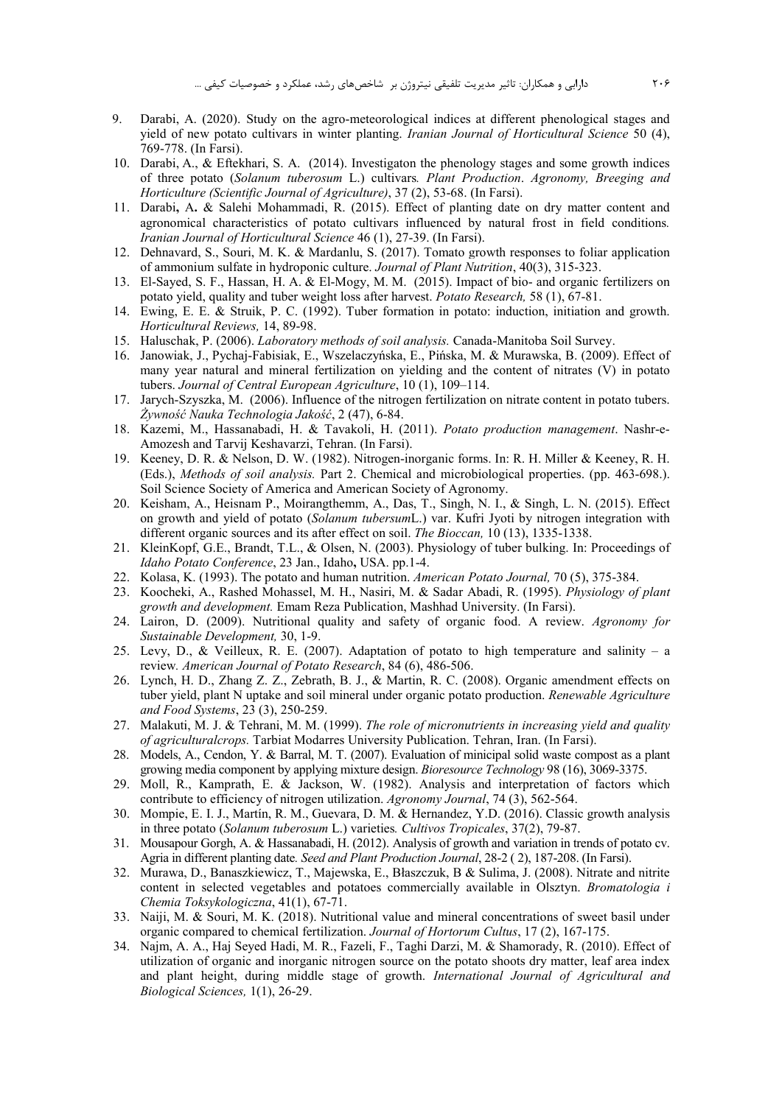- 9. Darabi, A. (2020). Study on the agro-meteorological indices at different phenological stages and yield of new potato cultivars in winter planting. *Iranian Journal of Horticultural Science* 50 (4), 769-778. (In Farsi).
- 10. Darabi, A., & Eftekhari, S. A. (2014). Investigaton the phenology stages and some growth indices of three potato (*Solanum tuberosum* L.) cultivars*. Plant Production*. *Agronomy, Breeging and Horticulture (Scientific Journal of Agriculture)*, 37 (2), 53-68. (In Farsi).
- 11. Darabi**,** A**.** & Salehi Mohammadi, R. (2015). Effect of planting date on dry matter content and agronomical characteristics of potato cultivars influenced by natural frost in field conditions*. Iranian Journal of Horticultural Science* 46 (1), 27-39. (In Farsi).
- 12. Dehnavard, S., Souri, M. K. & Mardanlu, S. (2017). Tomato growth responses to foliar application of ammonium sulfate in hydroponic culture. *Journal of Plant Nutrition*, 40(3), 315-323.
- 13. El-Sayed, S. F., Hassan, H. A. & El-Mogy, M. M. (2015). Impact of bio- and organic fertilizers on potato yield, quality and tuber weight loss after harvest. *Potato Research,* 58 (1), 67-81.
- 14. Ewing, E. E. & Struik, P. C. (1992). Tuber formation in potato: induction, initiation and growth. *Horticultural Reviews,* 14, 89-98.
- 15. Haluschak, P. (2006). *Laboratory methods of soil analysis.* Canada-Manitoba Soil Survey.
- 16. Janowiak, J., Pychaj-Fabisiak, E., Wszelaczyńska, E., Pińska, M. & Murawska, B. (2009). Effect of many year natural and mineral fertilization on yielding and the content of nitrates (V) in potato tubers. *Journal of Central European Agriculture*, 10 (1), 109–114.
- 17. Jarych-Szyszka, M. (2006). Influence of the nitrogen fertilization on nitrate content in potato tubers. *Żywność Nauka Technologia Jakość*, 2 (47), 6-84.
- 18. Kazemi, M., Hassanabadi, H. & Tavakoli, H. (2011). *Potato production management*. Nashr-e-Amozesh and Tarvij Keshavarzi, Tehran. (In Farsi).
- 19. Keeney, D. R. & Nelson, D. W. (1982). Nitrogen-inorganic forms. In: R. H. Miller & Keeney, R. H. (Eds.), *Methods of soil analysis.* Part 2. Chemical and microbiological properties. (pp. 463-698.). Soil Science Society of America and American Society of Agronomy.
- 20. Keisham, A., Heisnam P., Moirangthemm, A., Das, T., Singh, N. I., & Singh, L. N. (2015). Effect on growth and yield of potato (*Solanum tubersum*L.) var. Kufri Jyoti by nitrogen integration with different organic sources and its after effect on soil. *The Bioccan,* 10 (13), 1335-1338.
- 21. KleinKopf, G.E., Brandt, T.L., & Olsen, N. (2003). Physiology of tuber bulking. In: Proceedings of *Idaho Potato Conference*, 23 Jan., Idaho**,** USA. pp.1-4.
- 22. Kolasa, K. (1993). The potato and human nutrition. *American Potato Journal,* 70 (5), 375-384.
- 23. Koocheki, A., Rashed Mohassel, M. H., Nasiri, M. & Sadar Abadi, R. (1995). *Physiology of plant growth and development.* Emam Reza Publication, Mashhad University. (In Farsi).
- 24. Lairon, D. (2009). Nutritional quality and safety of organic food. A review. *Agronomy for Sustainable Development,* 30, 1-9.
- 25. Levy, D., & Veilleux, R. E. (2007). Adaptation of potato to high temperature and salinity a review*. American Journal of Potato Research*, 84 (6), 486-506.
- 26. Lynch, H. D., Zhang Z. Z., Zebrath, B. J., & Martin, R. C. (2008). Organic amendment effects on tuber yield, plant N uptake and soil mineral under organic potato production. *Renewable Agriculture and Food Systems*, 23 (3), 250-259.
- 27. Malakuti, M. J. & Tehrani, M. M. (1999). *The role of micronutrients in increasing yield and quality of agriculturalcrops.* Tarbiat Modarres University Publication. Tehran, Iran. (In Farsi).
- 28. Models, A., Cendon, Y. & Barral, M. T. (2007). Evaluation of minicipal solid waste compost as a plant growing media component by applying mixture design. *Bioresource Technology* 98 (16), 3069-3375.
- 29. Moll, R., Kamprath, E. & Jackson, W. (1982). Analysis and interpretation of factors which contribute to efficiency of nitrogen utilization. *Agronomy Journal*, 74 (3), 562-564.
- 30. Mompie, E. I. J., Martín, R. M., Guevara, D. M. & Hernandez, Y.D. (2016). Classic growth analysis in three potato (*Solanum tuberosum* L.) varieties*. Cultivos Tropicales*, 37(2), 79-87.
- 31. Mousapour Gorgh, A. & Hassanabadi, H. (2012). Analysis of growth and variation in trends of potato cv. Agria in different planting date*. Seed and Plant Production Journal*, 28-2 ( 2), 187-208. (In Farsi).
- 32. Murawa, D., Banaszkiewicz, T., Majewska, E., Błaszczuk, B & Sulima, J. (2008). Nitrate and nitrite content in selected vegetables and potatoes commercially available in Olsztyn. *Bromatologia i Chemia Toksykologiczna*, 41(1), 67-71.
- 33. Naiji, M. & Souri, M. K. (2018). Nutritional value and mineral concentrations of sweet basil under organic compared to chemical fertilization. *Journal of Hortorum Cultus*, 17 (2), 167-175.
- 34. Najm, A. A., Haj Seyed Hadi, M. R., Fazeli, F., Taghi Darzi, M. & Shamorady, R. (2010). Effect of utilization of organic and inorganic nitrogen source on the potato shoots dry matter, leaf area index and plant height, during middle stage of growth. *International Journal of Agricultural and Biological Sciences,* 1(1), 26-29.